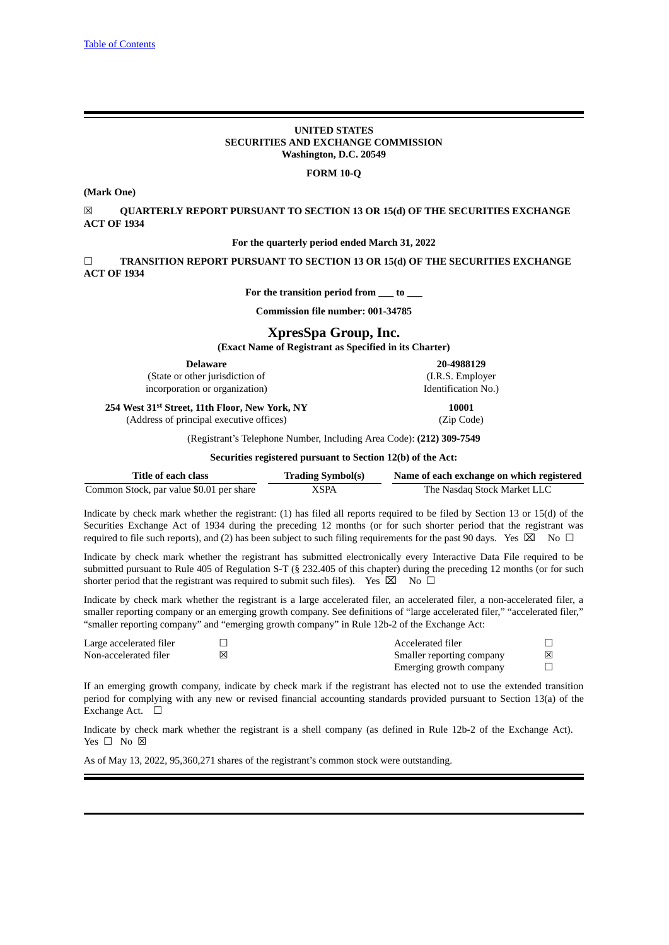## **UNITED STATES SECURITIES AND EXCHANGE COMMISSION Washington, D.C. 20549**

## **FORM 10-Q**

## **(Mark One)**

☒ **QUARTERLY REPORT PURSUANT TO SECTION 13 OR 15(d) OF THE SECURITIES EXCHANGE ACT OF 1934**

### **For the quarterly period ended March 31, 2022**

☐ **TRANSITION REPORT PURSUANT TO SECTION 13 OR 15(d) OF THE SECURITIES EXCHANGE ACT OF 1934**

**For the transition period from \_\_\_ to \_\_\_**

**Commission file number: 001-34785**

## **XpresSpa Group, Inc.**

**(Exact Name of Registrant as Specified in its Charter)**

| <b>Delaware</b>                                            | 20-4988129          |
|------------------------------------------------------------|---------------------|
| (State or other jurisdiction of                            | (I.R.S. Employer)   |
| incorporation or organization)                             | Identification No.) |
| 254 West 31 <sup>st</sup> Street, 11th Floor, New York, NY | 10001               |
| (Address of principal executive offices)                   | (Zip Code)          |

(Registrant's Telephone Number, Including Area Code): **(212) 309-7549**

#### **Securities registered pursuant to Section 12(b) of the Act:**

| Title of each class                      | <b>Trading Symbol(s)</b> | Name of each exchange on which registered |
|------------------------------------------|--------------------------|-------------------------------------------|
| Common Stock, par value \$0.01 per share | XSPA                     | The Nasdag Stock Market LLC               |

Indicate by check mark whether the registrant: (1) has filed all reports required to be filed by Section 13 or 15(d) of the Securities Exchange Act of 1934 during the preceding 12 months (or for such shorter period that the registrant was required to file such reports), and (2) has been subject to such filing requirements for the past 90 days. Yes  $\boxtimes$  No  $\Box$ 

Indicate by check mark whether the registrant has submitted electronically every Interactive Data File required to be submitted pursuant to Rule 405 of Regulation S-T (§ 232.405 of this chapter) during the preceding 12 months (or for such shorter period that the registrant was required to submit such files). Yes  $\boxtimes$  No  $\Box$ 

Indicate by check mark whether the registrant is a large accelerated filer, an accelerated filer, a non-accelerated filer, a smaller reporting company or an emerging growth company. See definitions of "large accelerated filer," "accelerated filer," "smaller reporting company" and "emerging growth company" in Rule 12b-2 of the Exchange Act:

| Large accelerated filer | Accelerated filer         |  |
|-------------------------|---------------------------|--|
| Non-accelerated filer   | Smaller reporting company |  |
|                         | Emerging growth company   |  |

If an emerging growth company, indicate by check mark if the registrant has elected not to use the extended transition period for complying with any new or revised financial accounting standards provided pursuant to Section 13(a) of the Exchange Act. □

Indicate by check mark whether the registrant is a shell company (as defined in Rule 12b-2 of the Exchange Act). Yes □ No ⊠

As of May 13, 2022, 95,360,271 shares of the registrant's common stock were outstanding.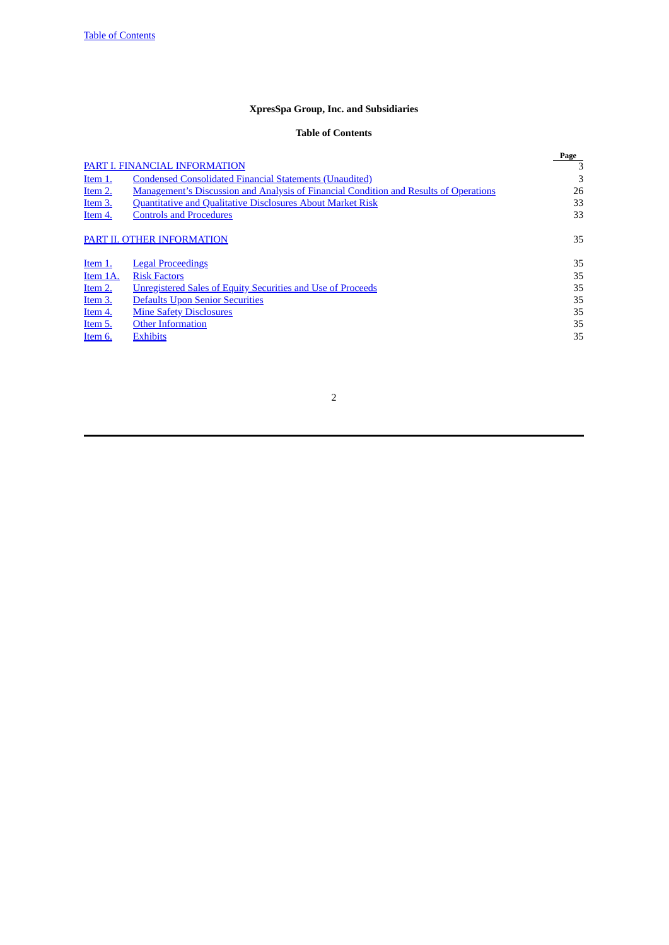# **XpresSpa Group, Inc. and Subsidiaries**

# **Table of Contents**

<span id="page-1-0"></span>

|                |                                                                                              | Page |
|----------------|----------------------------------------------------------------------------------------------|------|
|                | PART I. FINANCIAL INFORMATION                                                                | 3    |
| Item 1.        | <b>Condensed Consolidated Financial Statements (Unaudited)</b>                               | 3    |
| Item 2.        | <b>Management's Discussion and Analysis of Financial Condition and Results of Operations</b> | 26   |
| Item 3.        | <b>Quantitative and Qualitative Disclosures About Market Risk</b>                            | 33   |
| Item 4.        | <b>Controls and Procedures</b>                                                               | 33   |
|                | PART II. OTHER INFORMATION                                                                   | 35   |
| <u>Item 1.</u> | <b>Legal Proceedings</b>                                                                     | 35   |
| Item 1A.       | <b>Risk Factors</b>                                                                          | 35   |
| Item 2.        | Unregistered Sales of Equity Securities and Use of Proceeds                                  | 35   |
| Item 3.        | <b>Defaults Upon Senior Securities</b>                                                       | 35   |
| Item 4.        | <b>Mine Safety Disclosures</b>                                                               | 35   |
| Item 5.        | <b>Other Information</b>                                                                     | 35   |
| Item 6.        | <b>Exhibits</b>                                                                              | 35   |
|                |                                                                                              |      |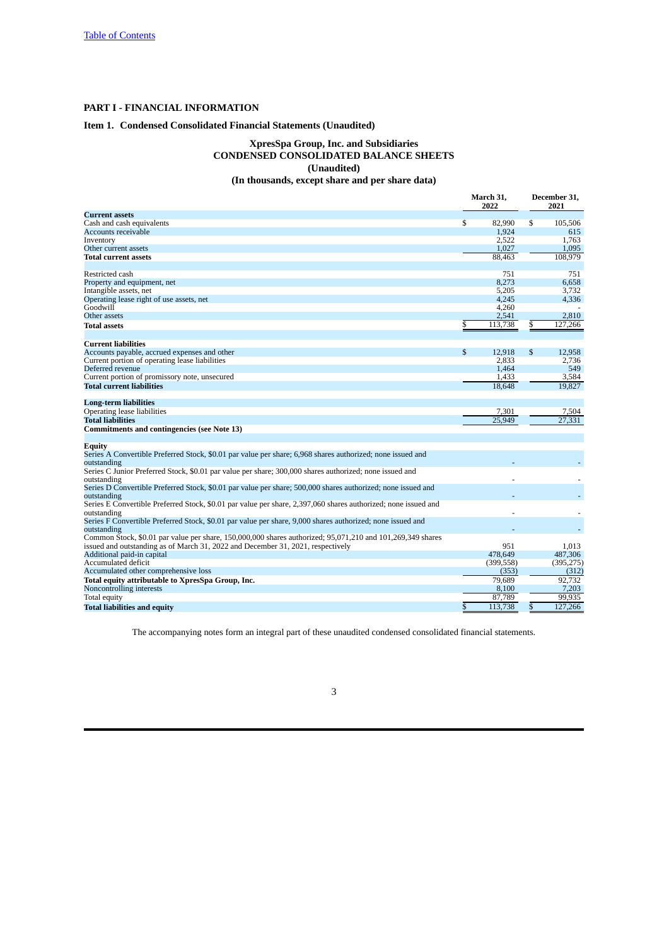## <span id="page-2-0"></span>**PART I - FINANCIAL INFORMATION**

#### <span id="page-2-1"></span>**Item 1. Condensed Consolidated Financial Statements (Unaudited)**

## **XpresSpa Group, Inc. and Subsidiaries CONDENSED CONSOLIDATED BALANCE SHEETS (Unaudited) (In thousands, except share and per share data)**

## **March 31, December 31, 2022 2021 Current assets** Cash and cash equivalents **and cash equivalents 6** 105,506 **6** 105,506 **6** 1,924 **1**,763 **6** 1,924 **1**,763 **1**,763 **1** Accounts receivable 1,924 615 Inventory 2,522 1,763 other current assets and the current assets the control of the current assets and the current assets the control of the control of the control of the control of the control of the control of the control of the control of t **Total current assets** Restricted cash 751 751 Property and equipment, net Intangible assets, net 5,205 3,732 Operating lease right of use assets, net 4,245 4,260<br>
Operating lease right of use assets, net 4,245 4,260<br>
Other assets 2,541 Goodwill 4,260 - Other assets 2,541 2,810 **Total** assets **6** 113,738 \$ 127,266 **Current liabilities** Accounts payable, accrued expenses and other  $\begin{array}{cccc} \text{8} & 12,918 & \$ & 12,958 \\ \text{Current portion of operating lease liabilities} & & 2,833 & 2,736 \\ \text{Deferred revenue} & & 1,464 & 549 \\ \text{Current portion of promissory note, unsecured} & & 1,433 & 3,584 \end{array}$ Current portion of operating lease liabilities 2,833 2,736 Deferred revenue 1,464 549 Current portion of perating rease monitors<br>
Current portion of promissory note, unsecured<br>
Total current liabilities<br>
Total current liabilities<br>
Total current liabilities<br>
Total current liabilities<br>
Total current liabiliti **Total current liabilities Long-term liabilities** Operating lease liabilities 7,301 7,504 **Total liabilities** 25,949 27,331 **Commitments and contingencies (see Note 13) Equity** Series A Convertible Preferred Stock, \$0.01 par value per share; 6,968 shares authorized; none issued and outstanding<br>Series C Junior Preferred Stock, \$0.01 par value per share; 300,000 shares authorized; none issued and outstanding<br>Series D Convertible Preferred Stock, \$0.01 par value per share; 500,000 shares authorized; none issued and outstanding<br>Series E Convertible Preferred Stock, \$0.01 par value per share, 2,397,060 shares authorized; none issued and outstanding<br>Series F Convertible Preferred Stock, \$0.01 par value per share, 9,000 shares authorized; none issued and outstanding - - Common Stock, \$0.01 par value per share, 150,000,000 shares authorized; 95,071,210 and 101,269,349 shares issued and outstanding as of March 31, 2022 and December 31, 2021, respectively 951 1,013 Additional paid-in capital and the method of the continuum of the continuum of the continuum of the continuum of the continuum of the continuum of the continuum of the continuum of the continuum of the continuum of the con Accumulated deficit (399,558) (395,275) Accumulated other comprehensive loss (353) (312) **Total equity attributable to XpresSpa Group, Inc.**<br>
Moncontrolling interests and the space of the space of the space of the space of the space of the space of the space of the space of the space of the space of the space Noncontrolling interests and the controlling interests and the controlling interests and the controlling interests and the controlling interests and the controlling interests and the controlling interests and the controlli Total equity and the set of the set of the set of the set of the set of the set of the set of the set of the set of the set of the set of the set of the set of the set of the set of the set of the set of the set of the set **Total liabilities and equity** \$ 113,738 \$ 127,266

The accompanying notes form an integral part of these unaudited condensed consolidated financial statements.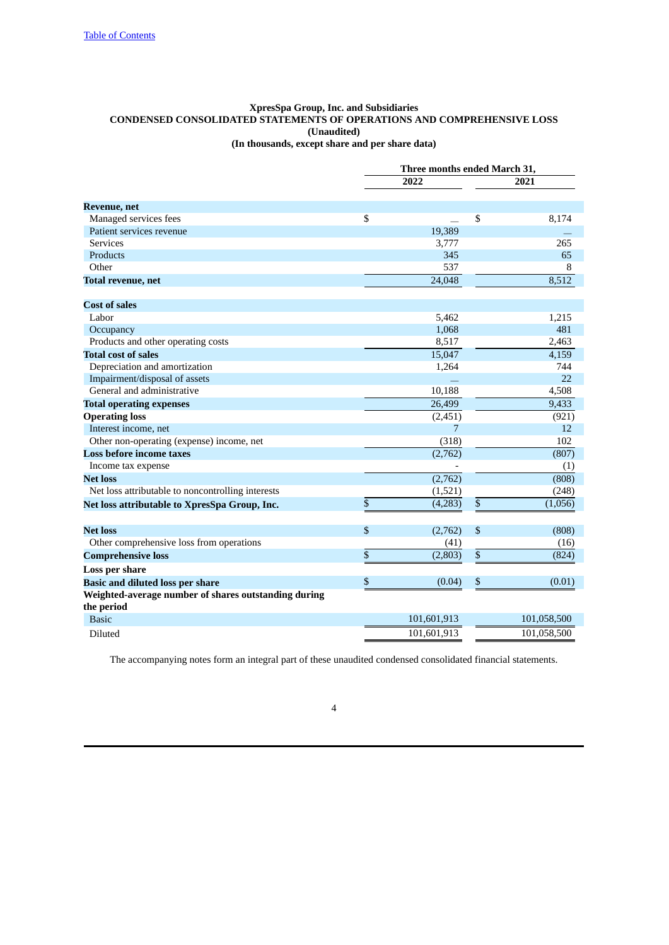## **XpresSpa Group, Inc. and Subsidiaries CONDENSED CONSOLIDATED STATEMENTS OF OPERATIONS AND COMPREHENSIVE LOSS (Unaudited) (In thousands, except share and per share data)**

|                                                      | Three months ended March 31, |             |      |             |  |
|------------------------------------------------------|------------------------------|-------------|------|-------------|--|
|                                                      | 2022                         |             |      | 2021        |  |
| <b>Revenue</b> , net                                 |                              |             |      |             |  |
| Managed services fees                                | \$                           |             | \$   | 8,174       |  |
| Patient services revenue                             |                              | 19,389      |      |             |  |
| <b>Services</b>                                      |                              | 3,777       |      | 265         |  |
| Products                                             |                              | 345         |      | 65          |  |
| Other                                                |                              | 537         |      | 8           |  |
| <b>Total revenue, net</b>                            |                              | 24,048      |      | 8,512       |  |
| <b>Cost of sales</b>                                 |                              |             |      |             |  |
| Labor                                                |                              | 5,462       |      | 1,215       |  |
| Occupancy                                            |                              | 1,068       |      | 481         |  |
| Products and other operating costs                   |                              | 8,517       |      | 2,463       |  |
| <b>Total cost of sales</b>                           |                              | 15,047      |      | 4,159       |  |
| Depreciation and amortization                        |                              | 1,264       |      | 744         |  |
| Impairment/disposal of assets                        |                              |             |      | 22          |  |
| General and administrative                           |                              | 10,188      |      | 4,508       |  |
| <b>Total operating expenses</b>                      |                              | 26,499      |      | 9,433       |  |
| <b>Operating loss</b>                                |                              | (2, 451)    |      | (921)       |  |
| Interest income, net                                 |                              | 7           |      | 12          |  |
| Other non-operating (expense) income, net            |                              | (318)       |      | 102         |  |
| <b>Loss before income taxes</b>                      |                              | (2,762)     |      | (807)       |  |
| Income tax expense                                   |                              |             |      | (1)         |  |
| <b>Net loss</b>                                      |                              | (2,762)     |      | (808)       |  |
| Net loss attributable to noncontrolling interests    |                              | (1,521)     |      | (248)       |  |
| Net loss attributable to XpresSpa Group, Inc.        | \$                           | (4,283)     | $\$$ | (1,056)     |  |
| <b>Net loss</b>                                      | \$                           | (2,762)     | $\$$ | (808)       |  |
| Other comprehensive loss from operations             |                              | (41)        |      | (16)        |  |
| <b>Comprehensive loss</b>                            | \$                           | (2,803)     | $\,$ | (824)       |  |
| <b>Loss per share</b>                                |                              |             |      |             |  |
| <b>Basic and diluted loss per share</b>              | \$                           | (0.04)      | \$   | (0.01)      |  |
| Weighted-average number of shares outstanding during |                              |             |      |             |  |
| the period                                           |                              |             |      |             |  |
| <b>Basic</b>                                         |                              | 101,601,913 |      | 101,058,500 |  |
| Diluted                                              |                              | 101,601,913 |      | 101,058,500 |  |

The accompanying notes form an integral part of these unaudited condensed consolidated financial statements.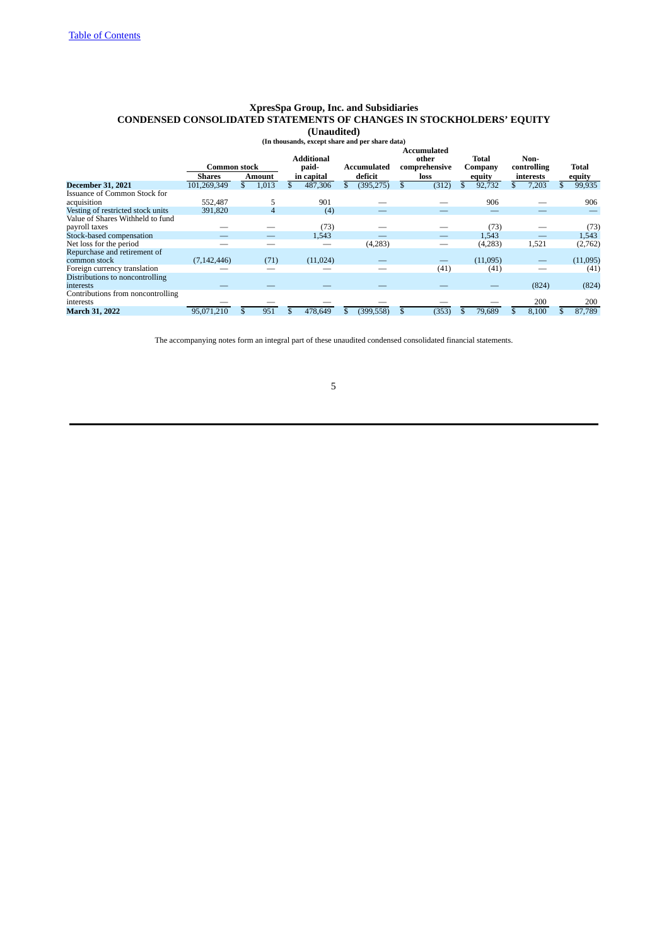# **XpresSpa Group, Inc. and Subsidiaries CONDENSED CONSOLIDATED STATEMENTS OF CHANGES IN STOCKHOLDERS' EQUITY**

# **(Unaudited) (In thousands, except share and per share data)**

|                                   |               |        |       | <b>Additional</b> |             | <b>Accumulated</b><br>other | <b>Total</b> | Non-        |              |
|-----------------------------------|---------------|--------|-------|-------------------|-------------|-----------------------------|--------------|-------------|--------------|
|                                   | Common stock  |        |       | paid-             | Accumulated | comprehensive               | Company      | controlling | <b>Total</b> |
|                                   | <b>Shares</b> | Amount |       | in capital        | deficit     | loss                        | equity       | interests   | equity       |
| <b>December 31, 2021</b>          | 101,269,349   |        | 1,013 | 487,306           | (395, 275)  | (312)                       | 92.732       | \$<br>7,203 | 99,935       |
| Issuance of Common Stock for      |               |        |       |                   |             |                             |              |             |              |
| acquisition                       | 552,487       |        |       | 901               |             |                             | 906          |             | 906          |
| Vesting of restricted stock units | 391,820       |        | 4     | (4)               |             |                             |              |             |              |
| Value of Shares Withheld to fund  |               |        |       |                   |             |                             |              |             |              |
| payroll taxes                     |               |        |       | (73)              |             |                             | (73)         |             | (73)         |
| Stock-based compensation          |               |        |       | 1,543             |             |                             | 1,543        |             | 1,543        |
| Net loss for the period           |               |        |       |                   | (4,283)     |                             | (4,283)      | 1,521       | (2,762)      |
| Repurchase and retirement of      |               |        |       |                   |             |                             |              |             |              |
| common stock                      | (7, 142, 446) |        | (71)  | (11, 024)         |             |                             | (11,095)     |             | (11,095)     |
| Foreign currency translation      |               |        |       |                   |             | (41)                        | (41)         |             | (41)         |
| Distributions to noncontrolling   |               |        |       |                   |             |                             |              |             |              |
| interests                         |               |        |       |                   |             |                             |              | (824)       | (824)        |
| Contributions from noncontrolling |               |        |       |                   |             |                             |              |             |              |
| interests                         |               |        |       |                   |             |                             |              | 200         | 200          |
| <b>March 31, 2022</b>             | 95,071,210    |        | 951   | 478,649           | (399, 558)  | (353)                       | 79,689       | 8,100       | 87,789       |

The accompanying notes form an integral part of these unaudited condensed consolidated financial statements.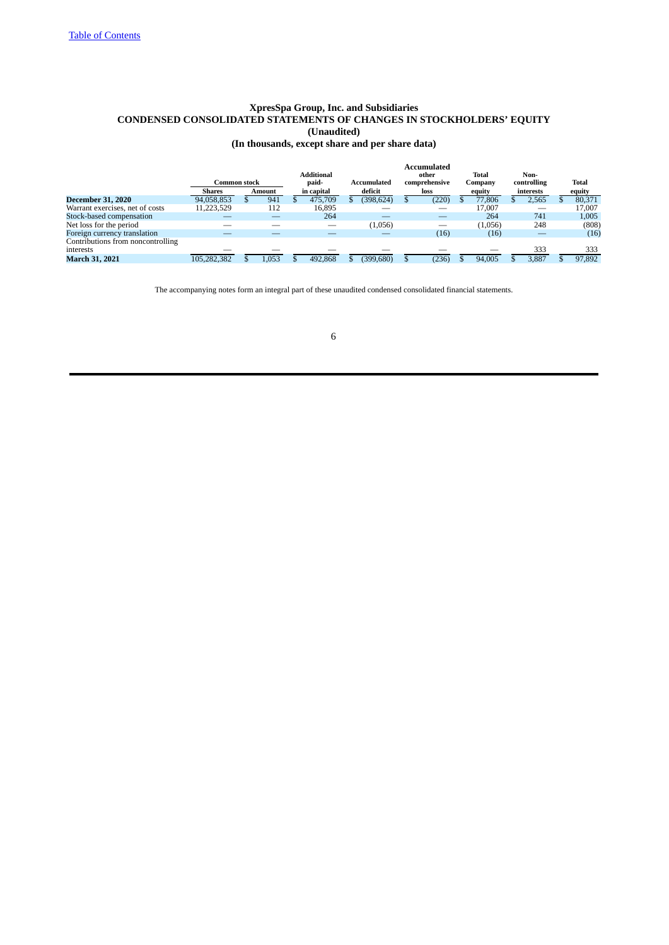## **XpresSpa Group, Inc. and Subsidiaries CONDENSED CONSOLIDATED STATEMENTS OF CHANGES IN STOCKHOLDERS' EQUITY (Unaudited) (In thousands, except share and per share data)**

|                                   | Common stock  |        | <b>Additional</b><br>paid- | Accumulated |   | Accumulated<br>other<br>comprehensive |     | Total<br>Company | Non-<br>controlling | Total  |
|-----------------------------------|---------------|--------|----------------------------|-------------|---|---------------------------------------|-----|------------------|---------------------|--------|
|                                   | <b>Shares</b> | Amount | in capital                 | deficit     |   | loss                                  |     | equity           | interests           | equity |
| <b>December 31, 2020</b>          | 94,058,853    | 941    | 475,709                    | (398, 624)  | D | (220)                                 | Эħ. | 77,806           | 2,565               | 80,371 |
| Warrant exercises, net of costs   | 11,223,529    | 112    | 16.895                     |             |   |                                       |     | 17.007           |                     | 17.007 |
| Stock-based compensation          |               |        | 264                        |             |   |                                       |     | 264              | 741                 | 1,005  |
| Net loss for the period           |               |        |                            | (1,056)     |   | __                                    |     | (1,056)          | 248                 | (808)  |
| Foreign currency translation      |               |        |                            |             |   | (16)                                  |     | (16)             |                     | (16)   |
| Contributions from noncontrolling |               |        |                            |             |   |                                       |     |                  |                     |        |
| interests                         |               |        |                            |             |   |                                       |     |                  | 333                 | 333    |
| March 31, 2021                    | 105.282.382   | 1.053  | 492.868                    | (399, 680)  |   | (236)                                 |     | 94.005           | 3.887               | 97.892 |

The accompanying notes form an integral part of these unaudited condensed consolidated financial statements.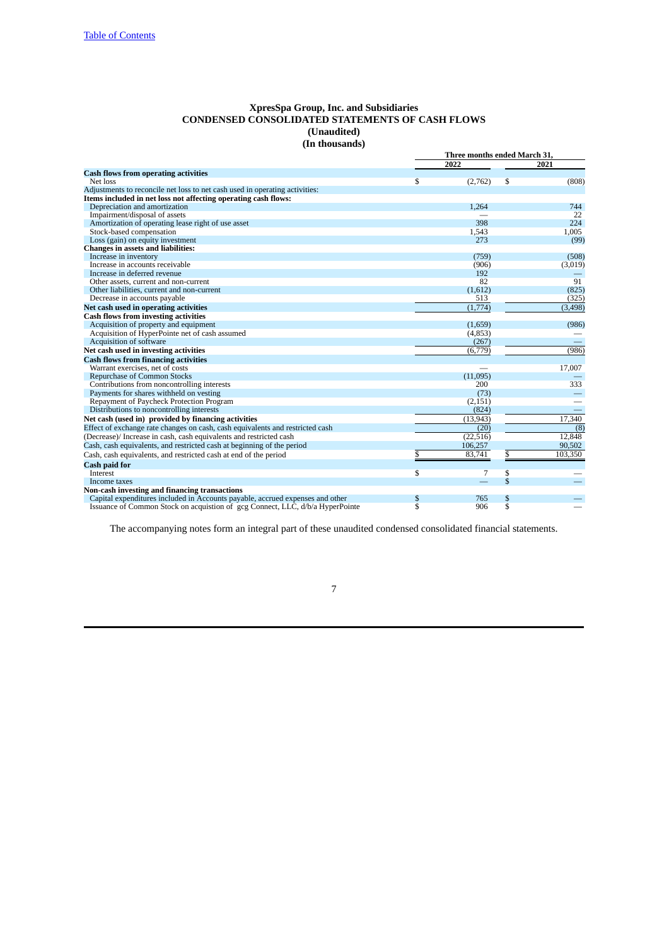## **XpresSpa Group, Inc. and Subsidiaries CONDENSED CONSOLIDATED STATEMENTS OF CASH FLOWS (Unaudited) (In thousands)**

|                                                                               | Three months ended March 31,  |           |                               |          |  |
|-------------------------------------------------------------------------------|-------------------------------|-----------|-------------------------------|----------|--|
|                                                                               |                               | 2022      |                               | 2021     |  |
| <b>Cash flows from operating activities</b>                                   |                               |           |                               |          |  |
| Net loss                                                                      | S                             | (2,762)   | \$                            | (808)    |  |
| Adjustments to reconcile net loss to net cash used in operating activities:   |                               |           |                               |          |  |
| Items included in net loss not affecting operating cash flows:                |                               |           |                               |          |  |
| Depreciation and amortization                                                 |                               | 1,264     |                               | 744      |  |
| Impairment/disposal of assets                                                 |                               |           |                               | 22       |  |
| Amortization of operating lease right of use asset                            |                               | 398       |                               | 224      |  |
| Stock-based compensation                                                      |                               | 1,543     |                               | 1,005    |  |
| Loss (gain) on equity investment                                              |                               | 273       |                               | (99)     |  |
| <b>Changes in assets and liabilities:</b>                                     |                               |           |                               |          |  |
| Increase in inventory                                                         |                               | (759)     |                               | (508)    |  |
| Increase in accounts receivable                                               |                               | (906)     |                               | (3,019)  |  |
| Increase in deferred revenue                                                  |                               | 192       |                               |          |  |
| Other assets, current and non-current                                         |                               | 82        |                               | 91       |  |
| Other liabilities, current and non-current                                    |                               | (1,612)   |                               | (825)    |  |
| Decrease in accounts payable                                                  |                               | 513       |                               | (325)    |  |
| Net cash used in operating activities                                         |                               | (1,774)   |                               | (3, 498) |  |
| <b>Cash flows from investing activities</b>                                   |                               |           |                               |          |  |
| Acquisition of property and equipment                                         |                               | (1,659)   |                               | (986)    |  |
| Acquisition of HyperPointe net of cash assumed                                |                               | (4, 853)  |                               |          |  |
| Acquisition of software                                                       |                               | (267)     |                               |          |  |
| Net cash used in investing activities                                         |                               | (6,779)   |                               | (986)    |  |
| <b>Cash flows from financing activities</b>                                   |                               |           |                               |          |  |
| Warrant exercises, net of costs                                               |                               |           |                               | 17,007   |  |
| Repurchase of Common Stocks                                                   |                               | (11,095)  |                               |          |  |
| Contributions from noncontrolling interests                                   |                               | 200       |                               | 333      |  |
| Payments for shares withheld on vesting                                       |                               | (73)      |                               |          |  |
| Repayment of Paycheck Protection Program                                      |                               | (2, 151)  |                               |          |  |
| Distributions to noncontrolling interests                                     |                               | (824)     |                               |          |  |
| Net cash (used in) provided by financing activities                           |                               | (13, 943) |                               | 17,340   |  |
| Effect of exchange rate changes on cash, cash equivalents and restricted cash |                               | (20)      |                               | (8)      |  |
| (Decrease)/ Increase in cash, cash equivalents and restricted cash            |                               | (22, 516) |                               | 12,848   |  |
| Cash, cash equivalents, and restricted cash at beginning of the period        |                               | 106,257   |                               | 90,502   |  |
| Cash, cash equivalents, and restricted cash at end of the period              | \$                            | 83.741    | \$                            | 103,350  |  |
|                                                                               |                               |           |                               |          |  |
| <b>Cash paid for</b><br><b>Interest</b>                                       |                               | 7         |                               |          |  |
|                                                                               | S                             |           | \$<br>\$                      |          |  |
| Income taxes                                                                  |                               |           |                               |          |  |
| Non-cash investing and financing transactions                                 |                               | 765       |                               |          |  |
| Capital expenditures included in Accounts payable, accrued expenses and other | \$<br>$\overline{\mathbb{S}}$ | 906       | \$<br>$\overline{\mathbb{S}}$ |          |  |
| Issuance of Common Stock on acquistion of gcg Connect, LLC, d/b/a HyperPointe |                               |           |                               |          |  |

The accompanying notes form an integral part of these unaudited condensed consolidated financial statements.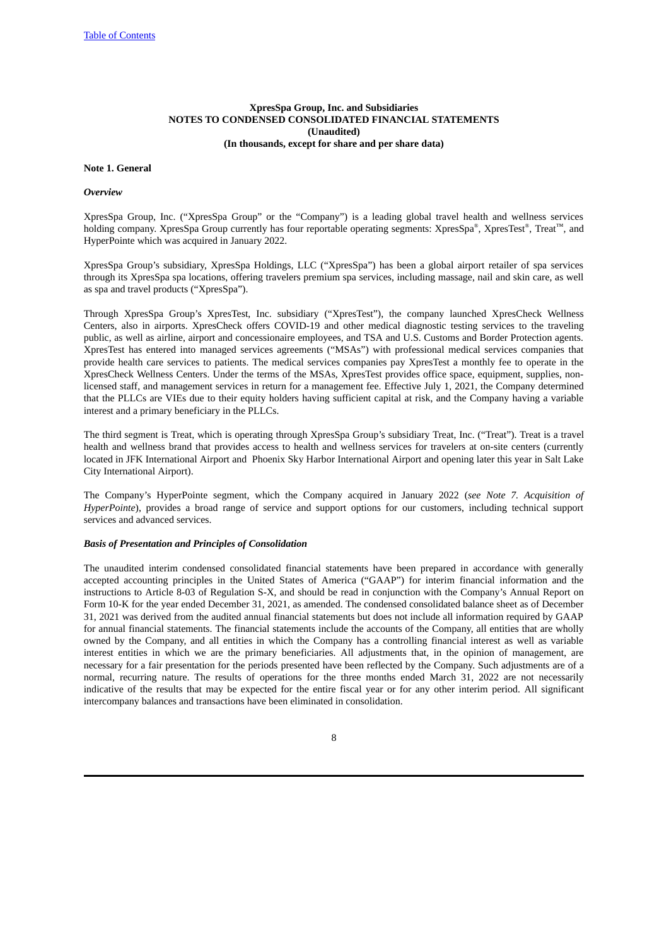## **XpresSpa Group, Inc. and Subsidiaries NOTES TO CONDENSED CONSOLIDATED FINANCIAL STATEMENTS (Unaudited) (In thousands, except for share and per share data)**

## **Note 1. General**

## *Overview*

XpresSpa Group, Inc. ("XpresSpa Group" or the "Company") is a leading global travel health and wellness services holding company. XpresSpa Group currently has four reportable operating segments: XpresSpa®, XpresTest®, Treat™, and HyperPointe which was acquired in January 2022.

XpresSpa Group's subsidiary, XpresSpa Holdings, LLC ("XpresSpa") has been a global airport retailer of spa services through its XpresSpa spa locations, offering travelers premium spa services, including massage, nail and skin care, as well as spa and travel products ("XpresSpa").

Through XpresSpa Group's XpresTest, Inc. subsidiary ("XpresTest"), the company launched XpresCheck Wellness Centers, also in airports. XpresCheck offers COVID-19 and other medical diagnostic testing services to the traveling public, as well as airline, airport and concessionaire employees, and TSA and U.S. Customs and Border Protection agents. XpresTest has entered into managed services agreements ("MSAs") with professional medical services companies that provide health care services to patients. The medical services companies pay XpresTest a monthly fee to operate in the XpresCheck Wellness Centers. Under the terms of the MSAs, XpresTest provides office space, equipment, supplies, nonlicensed staff, and management services in return for a management fee. Effective July 1, 2021, the Company determined that the PLLCs are VIEs due to their equity holders having sufficient capital at risk, and the Company having a variable interest and a primary beneficiary in the PLLCs.

The third segment is Treat, which is operating through XpresSpa Group's subsidiary Treat, Inc. ("Treat"). Treat is a travel health and wellness brand that provides access to health and wellness services for travelers at on-site centers (currently located in JFK International Airport and Phoenix Sky Harbor International Airport and opening later this year in Salt Lake City International Airport).

The Company's HyperPointe segment, which the Company acquired in January 2022 (*see Note 7. Acquisition of HyperPointe*), provides a broad range of service and support options for our customers, including technical support services and advanced services.

#### *Basis of Presentation and Principles of Consolidation*

The unaudited interim condensed consolidated financial statements have been prepared in accordance with generally accepted accounting principles in the United States of America ("GAAP") for interim financial information and the instructions to Article 8-03 of Regulation S-X, and should be read in conjunction with the Company's Annual Report on Form 10-K for the year ended December 31, 2021, as amended. The condensed consolidated balance sheet as of December 31, 2021 was derived from the audited annual financial statements but does not include all information required by GAAP for annual financial statements. The financial statements include the accounts of the Company, all entities that are wholly owned by the Company, and all entities in which the Company has a controlling financial interest as well as variable interest entities in which we are the primary beneficiaries. All adjustments that, in the opinion of management, are necessary for a fair presentation for the periods presented have been reflected by the Company. Such adjustments are of a normal, recurring nature. The results of operations for the three months ended March 31, 2022 are not necessarily indicative of the results that may be expected for the entire fiscal year or for any other interim period. All significant intercompany balances and transactions have been eliminated in consolidation.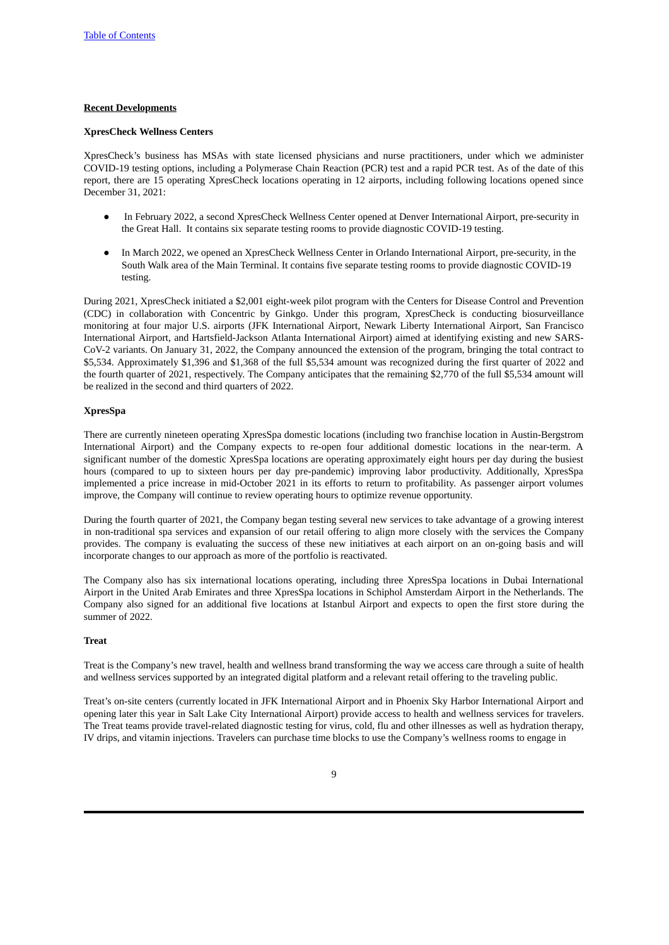## **Recent Developments**

#### **XpresCheck Wellness Centers**

XpresCheck's business has MSAs with state licensed physicians and nurse practitioners, under which we administer COVID-19 testing options, including a Polymerase Chain Reaction (PCR) test and a rapid PCR test. As of the date of this report, there are 15 operating XpresCheck locations operating in 12 airports, including following locations opened since December 31, 2021:

- In February 2022, a second XpresCheck Wellness Center opened at Denver International Airport, pre-security in the Great Hall. It contains six separate testing rooms to provide diagnostic COVID-19 testing.
- In March 2022, we opened an XpresCheck Wellness Center in Orlando International Airport, pre-security, in the South Walk area of the Main Terminal. It contains five separate testing rooms to provide diagnostic COVID-19 testing.

During 2021, XpresCheck initiated a \$2,001 eight-week pilot program with the Centers for Disease Control and Prevention (CDC) in collaboration with Concentric by Ginkgo. Under this program, XpresCheck is conducting biosurveillance monitoring at four major U.S. airports (JFK International Airport, Newark Liberty International Airport, San Francisco International Airport, and Hartsfield-Jackson Atlanta International Airport) aimed at identifying existing and new SARS-CoV-2 variants. On January 31, 2022, the Company announced the extension of the program, bringing the total contract to \$5,534. Approximately \$1,396 and \$1,368 of the full \$5,534 amount was recognized during the first quarter of 2022 and the fourth quarter of 2021, respectively. The Company anticipates that the remaining \$2,770 of the full \$5,534 amount will be realized in the second and third quarters of 2022.

## **XpresSpa**

There are currently nineteen operating XpresSpa domestic locations (including two franchise location in Austin-Bergstrom International Airport) and the Company expects to re-open four additional domestic locations in the near-term. A significant number of the domestic XpresSpa locations are operating approximately eight hours per day during the busiest hours (compared to up to sixteen hours per day pre-pandemic) improving labor productivity. Additionally, XpresSpa implemented a price increase in mid-October 2021 in its efforts to return to profitability. As passenger airport volumes improve, the Company will continue to review operating hours to optimize revenue opportunity.

During the fourth quarter of 2021, the Company began testing several new services to take advantage of a growing interest in non-traditional spa services and expansion of our retail offering to align more closely with the services the Company provides. The company is evaluating the success of these new initiatives at each airport on an on-going basis and will incorporate changes to our approach as more of the portfolio is reactivated.

The Company also has six international locations operating, including three XpresSpa locations in Dubai International Airport in the United Arab Emirates and three XpresSpa locations in Schiphol Amsterdam Airport in the Netherlands. The Company also signed for an additional five locations at Istanbul Airport and expects to open the first store during the summer of 2022.

#### **Treat**

Treat is the Company's new travel, health and wellness brand transforming the way we access care through a suite of health and wellness services supported by an integrated digital platform and a relevant retail offering to the traveling public.

Treat's on-site centers (currently located in JFK International Airport and in Phoenix Sky Harbor International Airport and opening later this year in Salt Lake City International Airport) provide access to health and wellness services for travelers. The Treat teams provide travel-related diagnostic testing for virus, cold, flu and other illnesses as well as hydration therapy, IV drips, and vitamin injections. Travelers can purchase time blocks to use the Company's wellness rooms to engage in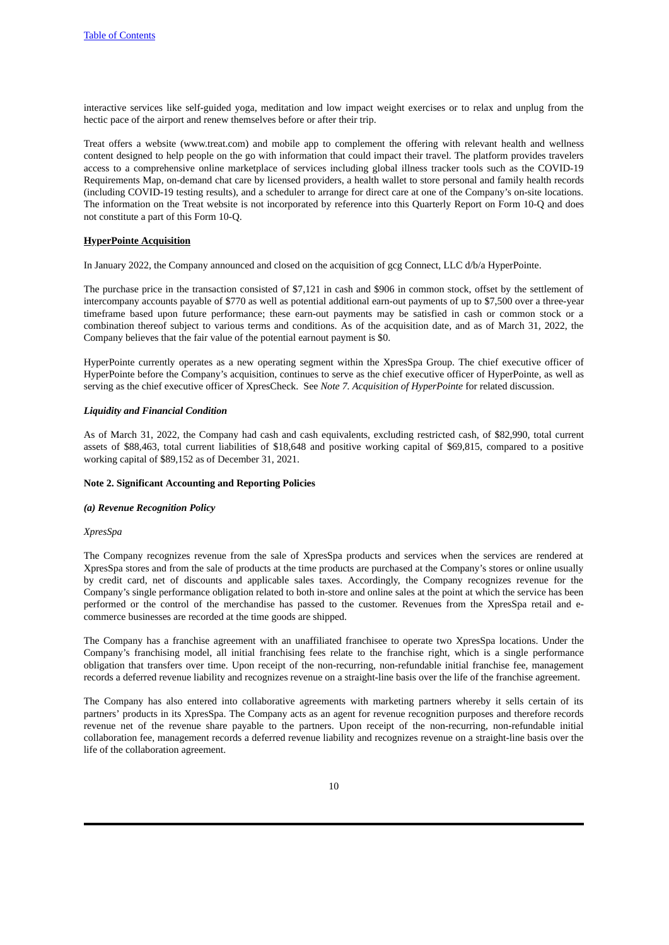interactive services like self-guided yoga, meditation and low impact weight exercises or to relax and unplug from the hectic pace of the airport and renew themselves before or after their trip.

Treat offers a website (www.treat.com) and mobile app to complement the offering with relevant health and wellness content designed to help people on the go with information that could impact their travel. The platform provides travelers access to a comprehensive online marketplace of services including global illness tracker tools such as the COVID-19 Requirements Map, on-demand chat care by licensed providers, a health wallet to store personal and family health records (including COVID-19 testing results), and a scheduler to arrange for direct care at one of the Company's on-site locations. The information on the Treat website is not incorporated by reference into this Quarterly Report on Form 10-Q and does not constitute a part of this Form 10-Q.

#### **HyperPointe Acquisition**

In January 2022, the Company announced and closed on the acquisition of gcg Connect, LLC d/b/a HyperPointe.

The purchase price in the transaction consisted of \$7,121 in cash and \$906 in common stock, offset by the settlement of intercompany accounts payable of \$770 as well as potential additional earn-out payments of up to \$7,500 over a three-year timeframe based upon future performance; these earn-out payments may be satisfied in cash or common stock or a combination thereof subject to various terms and conditions. As of the acquisition date, and as of March 31, 2022, the Company believes that the fair value of the potential earnout payment is \$0.

HyperPointe currently operates as a new operating segment within the XpresSpa Group. The chief executive officer of HyperPointe before the Company's acquisition, continues to serve as the chief executive officer of HyperPointe, as well as serving as the chief executive officer of XpresCheck. See *Note 7. Acquisition of HyperPointe* for related discussion.

#### *Liquidity and Financial Condition*

As of March 31, 2022, the Company had cash and cash equivalents, excluding restricted cash, of \$82,990, total current assets of \$88,463, total current liabilities of \$18,648 and positive working capital of \$69,815, compared to a positive working capital of \$89,152 as of December 31, 2021.

#### **Note 2. Significant Accounting and Reporting Policies**

#### *(a) Revenue Recognition Policy*

#### *XpresSpa*

The Company recognizes revenue from the sale of XpresSpa products and services when the services are rendered at XpresSpa stores and from the sale of products at the time products are purchased at the Company's stores or online usually by credit card, net of discounts and applicable sales taxes. Accordingly, the Company recognizes revenue for the Company's single performance obligation related to both in-store and online sales at the point at which the service has been performed or the control of the merchandise has passed to the customer. Revenues from the XpresSpa retail and ecommerce businesses are recorded at the time goods are shipped.

The Company has a franchise agreement with an unaffiliated franchisee to operate two XpresSpa locations. Under the Company's franchising model, all initial franchising fees relate to the franchise right, which is a single performance obligation that transfers over time. Upon receipt of the non-recurring, non-refundable initial franchise fee, management records a deferred revenue liability and recognizes revenue on a straight-line basis over the life of the franchise agreement.

The Company has also entered into collaborative agreements with marketing partners whereby it sells certain of its partners' products in its XpresSpa. The Company acts as an agent for revenue recognition purposes and therefore records revenue net of the revenue share payable to the partners. Upon receipt of the non-recurring, non-refundable initial collaboration fee, management records a deferred revenue liability and recognizes revenue on a straight-line basis over the life of the collaboration agreement.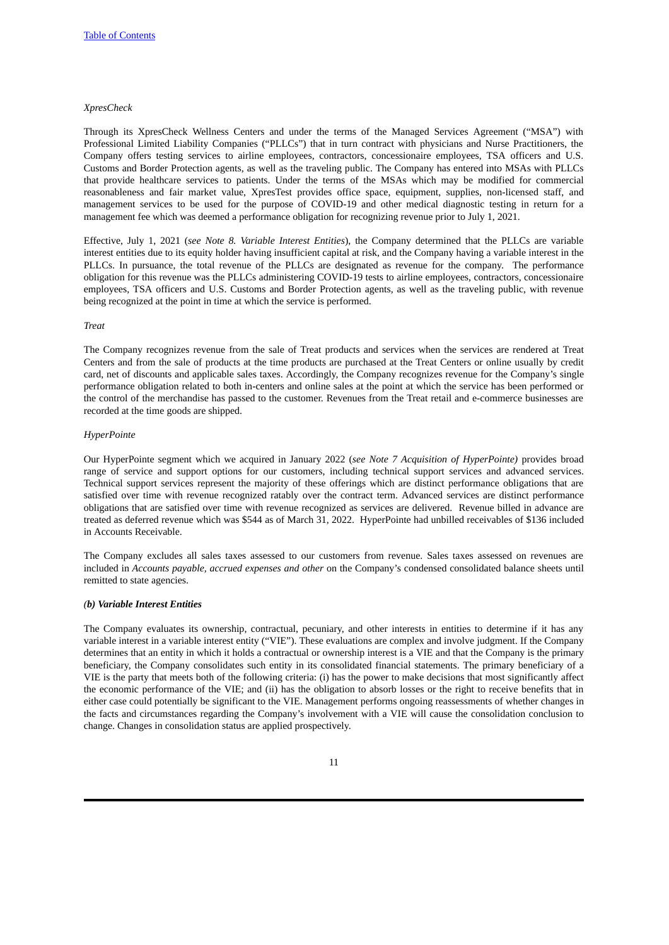#### *XpresCheck*

Through its XpresCheck Wellness Centers and under the terms of the Managed Services Agreement ("MSA") with Professional Limited Liability Companies ("PLLCs") that in turn contract with physicians and Nurse Practitioners, the Company offers testing services to airline employees, contractors, concessionaire employees, TSA officers and U.S. Customs and Border Protection agents, as well as the traveling public. The Company has entered into MSAs with PLLCs that provide healthcare services to patients. Under the terms of the MSAs which may be modified for commercial reasonableness and fair market value, XpresTest provides office space, equipment, supplies, non-licensed staff, and management services to be used for the purpose of COVID-19 and other medical diagnostic testing in return for a management fee which was deemed a performance obligation for recognizing revenue prior to July 1, 2021.

Effective, July 1, 2021 (*see Note 8. Variable Interest Entities*), the Company determined that the PLLCs are variable interest entities due to its equity holder having insufficient capital at risk, and the Company having a variable interest in the PLLCs. In pursuance, the total revenue of the PLLCs are designated as revenue for the company. The performance obligation for this revenue was the PLLCs administering COVID-19 tests to airline employees, contractors, concessionaire employees, TSA officers and U.S. Customs and Border Protection agents, as well as the traveling public, with revenue being recognized at the point in time at which the service is performed.

*Treat*

The Company recognizes revenue from the sale of Treat products and services when the services are rendered at Treat Centers and from the sale of products at the time products are purchased at the Treat Centers or online usually by credit card, net of discounts and applicable sales taxes. Accordingly, the Company recognizes revenue for the Company's single performance obligation related to both in-centers and online sales at the point at which the service has been performed or the control of the merchandise has passed to the customer. Revenues from the Treat retail and e-commerce businesses are recorded at the time goods are shipped.

## *HyperPointe*

Our HyperPointe segment which we acquired in January 2022 (*see Note 7 Acquisition of HyperPointe)* provides broad range of service and support options for our customers, including technical support services and advanced services. Technical support services represent the majority of these offerings which are distinct performance obligations that are satisfied over time with revenue recognized ratably over the contract term. Advanced services are distinct performance obligations that are satisfied over time with revenue recognized as services are delivered. Revenue billed in advance are treated as deferred revenue which was \$544 as of March 31, 2022. HyperPointe had unbilled receivables of \$136 included in Accounts Receivable.

The Company excludes all sales taxes assessed to our customers from revenue. Sales taxes assessed on revenues are included in *Accounts payable, accrued expenses and other* on the Company's condensed consolidated balance sheets until remitted to state agencies.

### *(b) Variable Interest Entities*

The Company evaluates its ownership, contractual, pecuniary, and other interests in entities to determine if it has any variable interest in a variable interest entity ("VIE"). These evaluations are complex and involve judgment. If the Company determines that an entity in which it holds a contractual or ownership interest is a VIE and that the Company is the primary beneficiary, the Company consolidates such entity in its consolidated financial statements. The primary beneficiary of a VIE is the party that meets both of the following criteria: (i) has the power to make decisions that most significantly affect the economic performance of the VIE; and (ii) has the obligation to absorb losses or the right to receive benefits that in either case could potentially be significant to the VIE. Management performs ongoing reassessments of whether changes in the facts and circumstances regarding the Company's involvement with a VIE will cause the consolidation conclusion to change. Changes in consolidation status are applied prospectively.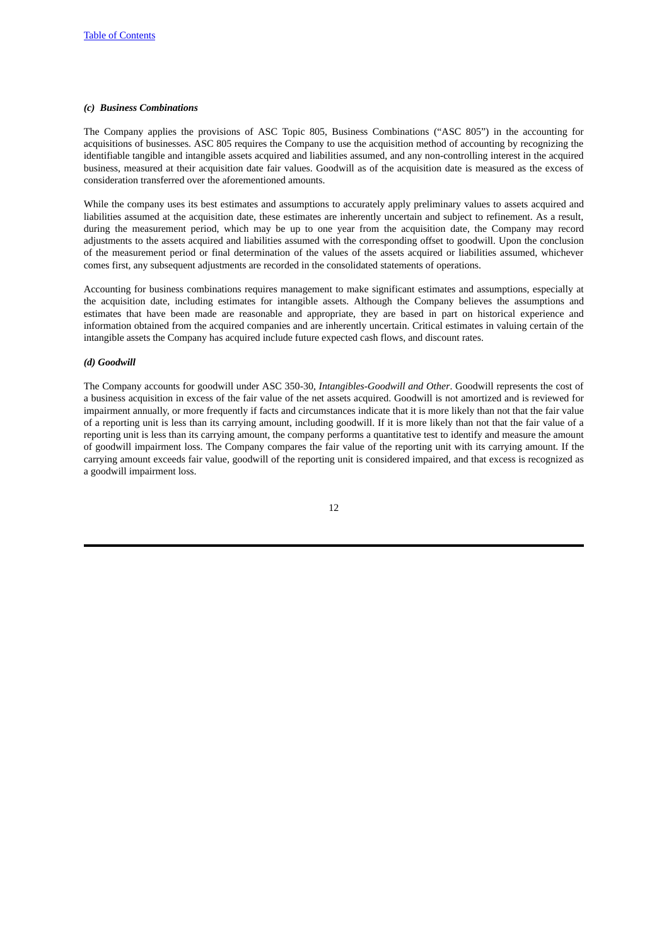## *(c) Business Combinations*

The Company applies the provisions of ASC Topic 805, Business Combinations ("ASC 805") in the accounting for acquisitions of businesses. ASC 805 requires the Company to use the acquisition method of accounting by recognizing the identifiable tangible and intangible assets acquired and liabilities assumed, and any non-controlling interest in the acquired business, measured at their acquisition date fair values. Goodwill as of the acquisition date is measured as the excess of consideration transferred over the aforementioned amounts.

While the company uses its best estimates and assumptions to accurately apply preliminary values to assets acquired and liabilities assumed at the acquisition date, these estimates are inherently uncertain and subject to refinement. As a result, during the measurement period, which may be up to one year from the acquisition date, the Company may record adjustments to the assets acquired and liabilities assumed with the corresponding offset to goodwill. Upon the conclusion of the measurement period or final determination of the values of the assets acquired or liabilities assumed, whichever comes first, any subsequent adjustments are recorded in the consolidated statements of operations.

Accounting for business combinations requires management to make significant estimates and assumptions, especially at the acquisition date, including estimates for intangible assets. Although the Company believes the assumptions and estimates that have been made are reasonable and appropriate, they are based in part on historical experience and information obtained from the acquired companies and are inherently uncertain. Critical estimates in valuing certain of the intangible assets the Company has acquired include future expected cash flows, and discount rates.

## *(d) Goodwill*

The Company accounts for goodwill under ASC 350-30, *Intangibles-Goodwill and Other*. Goodwill represents the cost of a business acquisition in excess of the fair value of the net assets acquired. Goodwill is not amortized and is reviewed for impairment annually, or more frequently if facts and circumstances indicate that it is more likely than not that the fair value of a reporting unit is less than its carrying amount, including goodwill. If it is more likely than not that the fair value of a reporting unit is less than its carrying amount, the company performs a quantitative test to identify and measure the amount of goodwill impairment loss. The Company compares the fair value of the reporting unit with its carrying amount. If the carrying amount exceeds fair value, goodwill of the reporting unit is considered impaired, and that excess is recognized as a goodwill impairment loss.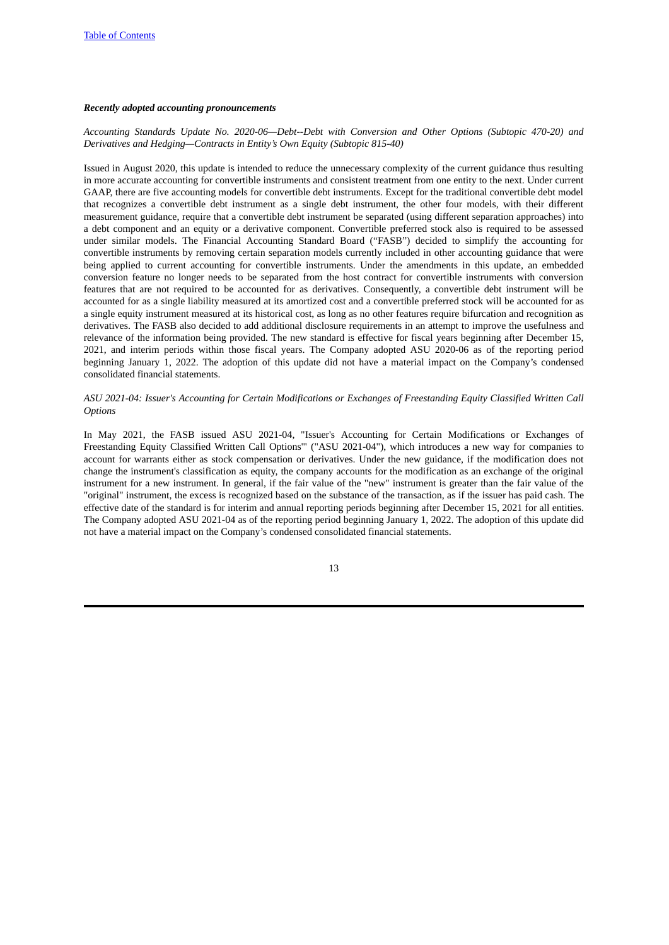### *Recently adopted accounting pronouncements*

## *Accounting Standards Update No. 2020-06—Debt--Debt with Conversion and Other Options (Subtopic 470-20) and Derivatives and Hedging—Contracts in Entity's Own Equity (Subtopic 815-40)*

Issued in August 2020, this update is intended to reduce the unnecessary complexity of the current guidance thus resulting in more accurate accounting for convertible instruments and consistent treatment from one entity to the next. Under current GAAP, there are five accounting models for convertible debt instruments. Except for the traditional convertible debt model that recognizes a convertible debt instrument as a single debt instrument, the other four models, with their different measurement guidance, require that a convertible debt instrument be separated (using different separation approaches) into a debt component and an equity or a derivative component. Convertible preferred stock also is required to be assessed under similar models. The Financial Accounting Standard Board ("FASB") decided to simplify the accounting for convertible instruments by removing certain separation models currently included in other accounting guidance that were being applied to current accounting for convertible instruments. Under the amendments in this update, an embedded conversion feature no longer needs to be separated from the host contract for convertible instruments with conversion features that are not required to be accounted for as derivatives. Consequently, a convertible debt instrument will be accounted for as a single liability measured at its amortized cost and a convertible preferred stock will be accounted for as a single equity instrument measured at its historical cost, as long as no other features require bifurcation and recognition as derivatives. The FASB also decided to add additional disclosure requirements in an attempt to improve the usefulness and relevance of the information being provided. The new standard is effective for fiscal years beginning after December 15, 2021, and interim periods within those fiscal years. The Company adopted ASU 2020-06 as of the reporting period beginning January 1, 2022. The adoption of this update did not have a material impact on the Company's condensed consolidated financial statements.

## *ASU 2021-04: Issuer's Accounting for Certain Modifications or Exchanges of Freestanding Equity Classified Written Call Options*

In May 2021, the FASB issued ASU 2021-04, "Issuer's Accounting for Certain Modifications or Exchanges of Freestanding Equity Classified Written Call Options'" ("ASU 2021-04"), which introduces a new way for companies to account for warrants either as stock compensation or derivatives. Under the new guidance, if the modification does not change the instrument's classification as equity, the company accounts for the modification as an exchange of the original instrument for a new instrument. In general, if the fair value of the "new" instrument is greater than the fair value of the "original" instrument, the excess is recognized based on the substance of the transaction, as if the issuer has paid cash. The effective date of the standard is for interim and annual reporting periods beginning after December 15, 2021 for all entities. The Company adopted ASU 2021-04 as of the reporting period beginning January 1, 2022. The adoption of this update did not have a material impact on the Company's condensed consolidated financial statements.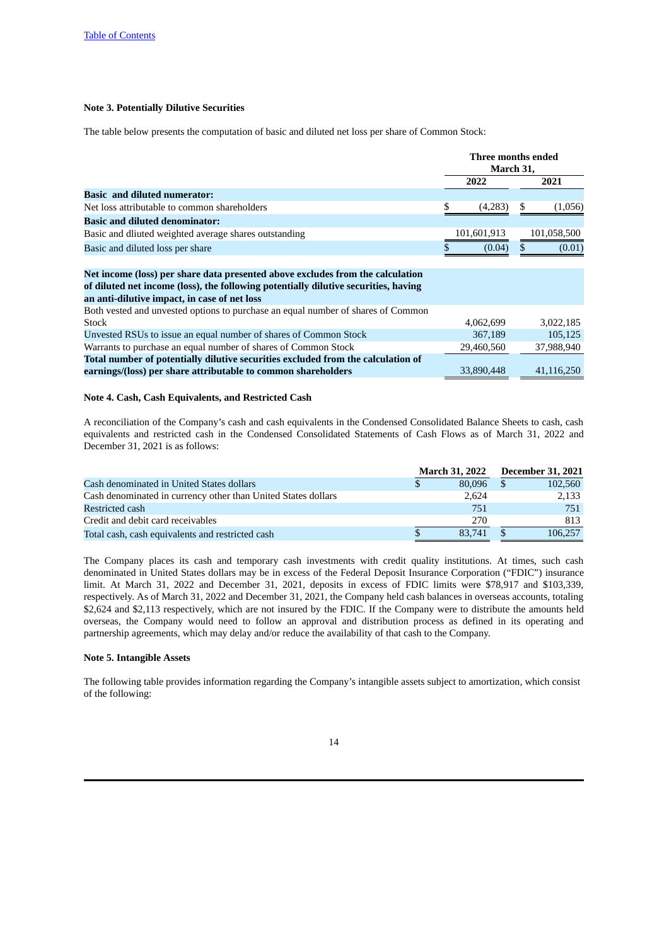## **Note 3. Potentially Dilutive Securities**

The table below presents the computation of basic and diluted net loss per share of Common Stock:

|                                                                                                                                                                                                                       | Three months ended<br>March 31, |             |     |             |
|-----------------------------------------------------------------------------------------------------------------------------------------------------------------------------------------------------------------------|---------------------------------|-------------|-----|-------------|
|                                                                                                                                                                                                                       |                                 | 2022        |     | 2021        |
| <b>Basic and diluted numerator:</b>                                                                                                                                                                                   |                                 |             |     |             |
| Net loss attributable to common shareholders                                                                                                                                                                          | \$                              | (4,283)     | \$. | (1,056)     |
| <b>Basic and diluted denominator:</b>                                                                                                                                                                                 |                                 |             |     |             |
| Basic and dliuted weighted average shares outstanding                                                                                                                                                                 |                                 | 101,601,913 |     | 101,058,500 |
| Basic and diluted loss per share                                                                                                                                                                                      |                                 | (0.04)      |     | (0.01)      |
| Net income (loss) per share data presented above excludes from the calculation<br>of diluted net income (loss), the following potentially dilutive securities, having<br>an anti-dilutive impact, in case of net loss |                                 |             |     |             |
| Both vested and unvested options to purchase an equal number of shares of Common                                                                                                                                      |                                 |             |     |             |
| Stock                                                                                                                                                                                                                 |                                 | 4,062,699   |     | 3,022,185   |
| Unvested RSUs to issue an equal number of shares of Common Stock                                                                                                                                                      |                                 | 367,189     |     | 105,125     |
| Warrants to purchase an equal number of shares of Common Stock                                                                                                                                                        |                                 | 29,460,560  |     | 37,988,940  |
| Total number of potentially dilutive securities excluded from the calculation of<br>earnings/(loss) per share attributable to common shareholders                                                                     |                                 | 33,890,448  |     | 41,116,250  |
|                                                                                                                                                                                                                       |                                 |             |     |             |

## **Note 4. Cash, Cash Equivalents, and Restricted Cash**

A reconciliation of the Company's cash and cash equivalents in the Condensed Consolidated Balance Sheets to cash, cash equivalents and restricted cash in the Condensed Consolidated Statements of Cash Flows as of March 31, 2022 and December 31, 2021 is as follows:

|                                                               | <b>March 31, 2022</b> | <b>December 31, 2021</b> |
|---------------------------------------------------------------|-----------------------|--------------------------|
| Cash denominated in United States dollars                     | 80.096                | 102,560                  |
| Cash denominated in currency other than United States dollars | 2.624                 | 2,133                    |
| Restricted cash                                               | 751                   | 751                      |
| Credit and debit card receivables                             | 270                   | 813                      |
| Total cash, cash equivalents and restricted cash              | 83.741                | 106.257                  |

The Company places its cash and temporary cash investments with credit quality institutions. At times, such cash denominated in United States dollars may be in excess of the Federal Deposit Insurance Corporation ("FDIC") insurance limit. At March 31, 2022 and December 31, 2021, deposits in excess of FDIC limits were \$78,917 and \$103,339, respectively. As of March 31, 2022 and December 31, 2021, the Company held cash balances in overseas accounts, totaling \$2,624 and \$2,113 respectively, which are not insured by the FDIC. If the Company were to distribute the amounts held overseas, the Company would need to follow an approval and distribution process as defined in its operating and partnership agreements, which may delay and/or reduce the availability of that cash to the Company.

## **Note 5. Intangible Assets**

The following table provides information regarding the Company's intangible assets subject to amortization, which consist of the following: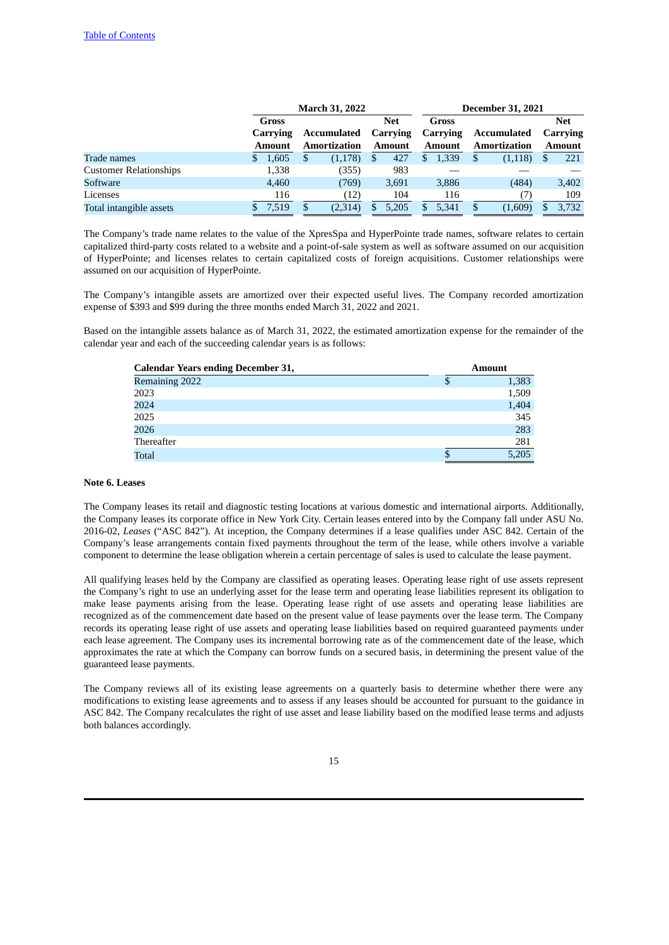|                               |             | <b>March 31, 2022</b> |               | <b>December 31, 2021</b> |                     |               |  |  |  |  |
|-------------------------------|-------------|-----------------------|---------------|--------------------------|---------------------|---------------|--|--|--|--|
|                               | Gross       |                       | <b>Net</b>    | Gross                    |                     | <b>Net</b>    |  |  |  |  |
|                               | Carrying    | Accumulated           | Carrying      | Carrying                 | Accumulated         | Carrying      |  |  |  |  |
|                               | Amount      | <b>Amortization</b>   | <b>Amount</b> | <b>Amount</b>            | <b>Amortization</b> | <b>Amount</b> |  |  |  |  |
| Trade names                   | 1,605<br>S. | (1, 178)<br>Ъ         | 427<br>\$.    | 1,339<br>S.              | (1, 118)<br>S       | 221           |  |  |  |  |
| <b>Customer Relationships</b> | 1,338       | (355)                 | 983           |                          |                     |               |  |  |  |  |
| Software                      | 4,460       | (769)                 | 3,691         | 3,886                    | (484)               | 3,402         |  |  |  |  |
| Licenses                      | 116         | (12)                  | 104           | 116                      |                     | 109           |  |  |  |  |
| Total intangible assets       | 7.519       | (2,314)               | 5.205         | 5.341                    | (1,609)             | 3.732         |  |  |  |  |

The Company's trade name relates to the value of the XpresSpa and HyperPointe trade names, software relates to certain capitalized third-party costs related to a website and a point-of-sale system as well as software assumed on our acquisition of HyperPointe; and licenses relates to certain capitalized costs of foreign acquisitions. Customer relationships were assumed on our acquisition of HyperPointe.

The Company's intangible assets are amortized over their expected useful lives. The Company recorded amortization expense of \$393 and \$99 during the three months ended March 31, 2022 and 2021.

Based on the intangible assets balance as of March 31, 2022, the estimated amortization expense for the remainder of the calendar year and each of the succeeding calendar years is as follows:

| <b>Calendar Years ending December 31,</b> |   | <b>Amount</b> |
|-------------------------------------------|---|---------------|
| Remaining 2022                            | S | 1,383         |
| 2023                                      |   | 1,509         |
| 2024                                      |   | 1,404         |
| 2025                                      |   | 345           |
| 2026                                      |   | 283           |
| Thereafter                                |   | 281           |
| <b>Total</b>                              |   | 5.205         |

#### **Note 6. Leases**

The Company leases its retail and diagnostic testing locations at various domestic and international airports. Additionally, the Company leases its corporate office in New York City. Certain leases entered into by the Company fall under ASU No. 2016-02, *Leases* ("ASC 842"). At inception, the Company determines if a lease qualifies under ASC 842. Certain of the Company's lease arrangements contain fixed payments throughout the term of the lease, while others involve a variable component to determine the lease obligation wherein a certain percentage of sales is used to calculate the lease payment.

All qualifying leases held by the Company are classified as operating leases. Operating lease right of use assets represent the Company's right to use an underlying asset for the lease term and operating lease liabilities represent its obligation to make lease payments arising from the lease. Operating lease right of use assets and operating lease liabilities are recognized as of the commencement date based on the present value of lease payments over the lease term. The Company records its operating lease right of use assets and operating lease liabilities based on required guaranteed payments under each lease agreement. The Company uses its incremental borrowing rate as of the commencement date of the lease, which approximates the rate at which the Company can borrow funds on a secured basis, in determining the present value of the guaranteed lease payments.

The Company reviews all of its existing lease agreements on a quarterly basis to determine whether there were any modifications to existing lease agreements and to assess if any leases should be accounted for pursuant to the guidance in ASC 842. The Company recalculates the right of use asset and lease liability based on the modified lease terms and adjusts both balances accordingly.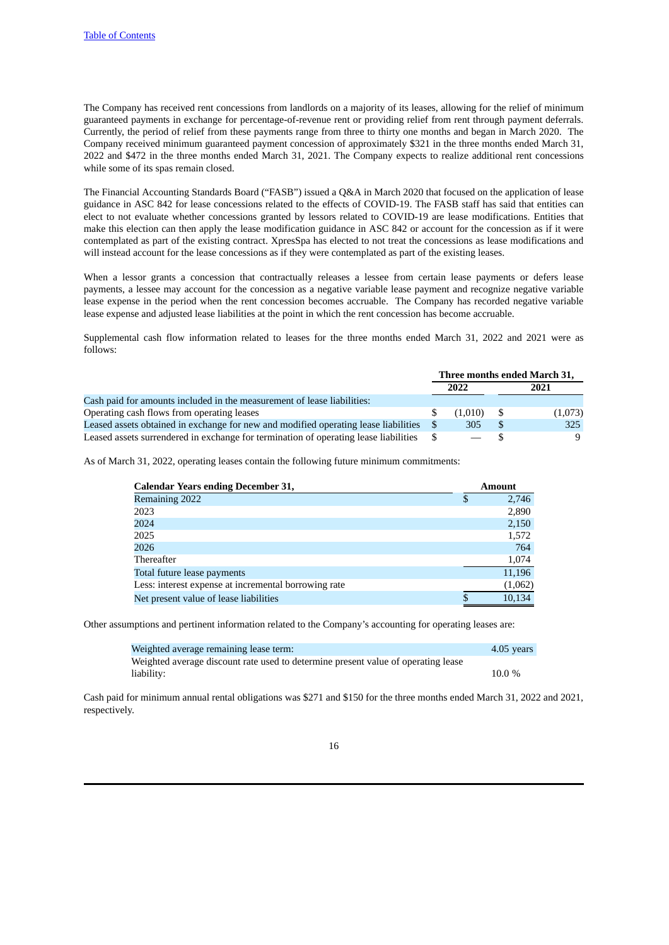The Company has received rent concessions from landlords on a majority of its leases, allowing for the relief of minimum guaranteed payments in exchange for percentage-of-revenue rent or providing relief from rent through payment deferrals. Currently, the period of relief from these payments range from three to thirty one months and began in March 2020. The Company received minimum guaranteed payment concession of approximately \$321 in the three months ended March 31, 2022 and \$472 in the three months ended March 31, 2021. The Company expects to realize additional rent concessions while some of its spas remain closed.

The Financial Accounting Standards Board ("FASB") issued a Q&A in March 2020 that focused on the application of lease guidance in ASC 842 for lease concessions related to the effects of COVID-19. The FASB staff has said that entities can elect to not evaluate whether concessions granted by lessors related to COVID-19 are lease modifications. Entities that make this election can then apply the lease modification guidance in ASC 842 or account for the concession as if it were contemplated as part of the existing contract. XpresSpa has elected to not treat the concessions as lease modifications and will instead account for the lease concessions as if they were contemplated as part of the existing leases.

When a lessor grants a concession that contractually releases a lessee from certain lease payments or defers lease payments, a lessee may account for the concession as a negative variable lease payment and recognize negative variable lease expense in the period when the rent concession becomes accruable. The Company has recorded negative variable lease expense and adjusted lease liabilities at the point in which the rent concession has become accruable.

Supplemental cash flow information related to leases for the three months ended March 31, 2022 and 2021 were as follows:

|                                                                                      |    | Three months ended March 31, |      |         |  |
|--------------------------------------------------------------------------------------|----|------------------------------|------|---------|--|
|                                                                                      |    | 2022                         |      | 2021    |  |
| Cash paid for amounts included in the measurement of lease liabilities:              |    |                              |      |         |  |
| Operating cash flows from operating leases                                           | æ. | (1.010)                      | - \$ | (1,073) |  |
| Leased assets obtained in exchange for new and modified operating lease liabilities  |    | 305                          | - \$ | 325     |  |
| Leased assets surrendered in exchange for termination of operating lease liabilities |    |                              |      | -9      |  |

As of March 31, 2022, operating leases contain the following future minimum commitments:

| <b>Calendar Years ending December 31,</b>            | <b>Amount</b> |
|------------------------------------------------------|---------------|
| Remaining 2022                                       | \$<br>2,746   |
| 2023                                                 | 2,890         |
| 2024                                                 | 2,150         |
| 2025                                                 | 1,572         |
| 2026                                                 | 764           |
| Thereafter                                           | 1,074         |
| Total future lease payments                          | 11,196        |
| Less: interest expense at incremental borrowing rate | (1,062)       |
| Net present value of lease liabilities               | 10,134        |

Other assumptions and pertinent information related to the Company's accounting for operating leases are:

| Weighted average remaining lease term:                                            | 4.05 years |
|-----------------------------------------------------------------------------------|------------|
| Weighted average discount rate used to determine present value of operating lease |            |
| liability:                                                                        | $10.0\%$   |

Cash paid for minimum annual rental obligations was \$271 and \$150 for the three months ended March 31, 2022 and 2021, respectively.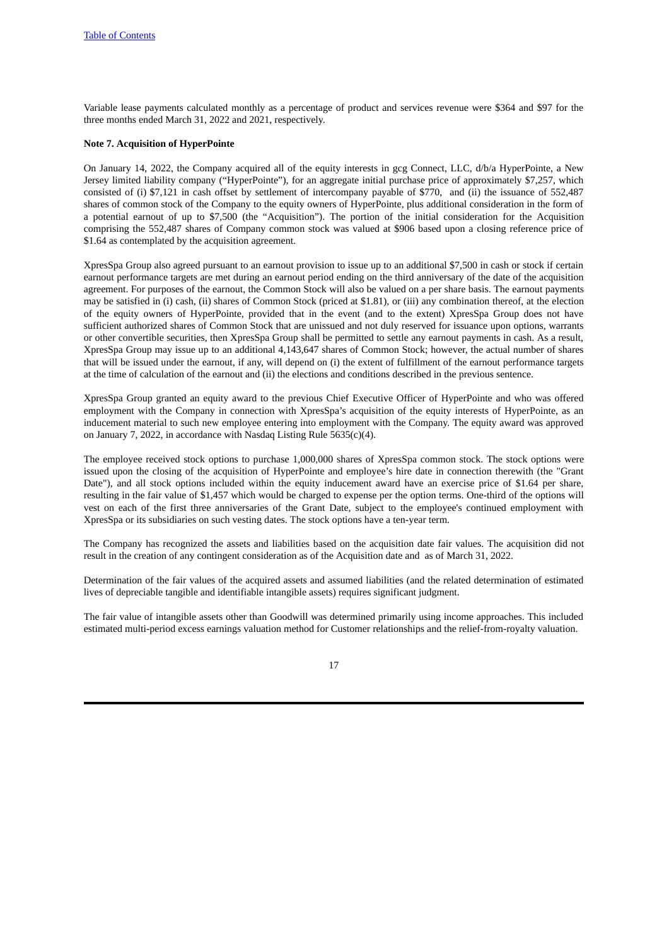Variable lease payments calculated monthly as a percentage of product and services revenue were \$364 and \$97 for the three months ended March 31, 2022 and 2021, respectively.

## **Note 7. Acquisition of HyperPointe**

On January 14, 2022, the Company acquired all of the equity interests in gcg Connect, LLC, d/b/a HyperPointe, a New Jersey limited liability company ("HyperPointe"), for an aggregate initial purchase price of approximately \$7,257, which consisted of (i) \$7,121 in cash offset by settlement of intercompany payable of \$770, and (ii) the issuance of 552,487 shares of common stock of the Company to the equity owners of HyperPointe, plus additional consideration in the form of a potential earnout of up to \$7,500 (the "Acquisition"). The portion of the initial consideration for the Acquisition comprising the 552,487 shares of Company common stock was valued at \$906 based upon a closing reference price of \$1.64 as contemplated by the acquisition agreement.

XpresSpa Group also agreed pursuant to an earnout provision to issue up to an additional \$7,500 in cash or stock if certain earnout performance targets are met during an earnout period ending on the third anniversary of the date of the acquisition agreement. For purposes of the earnout, the Common Stock will also be valued on a per share basis. The earnout payments may be satisfied in (i) cash, (ii) shares of Common Stock (priced at \$1.81), or (iii) any combination thereof, at the election of the equity owners of HyperPointe, provided that in the event (and to the extent) XpresSpa Group does not have sufficient authorized shares of Common Stock that are unissued and not duly reserved for issuance upon options, warrants or other convertible securities, then XpresSpa Group shall be permitted to settle any earnout payments in cash. As a result, XpresSpa Group may issue up to an additional 4,143,647 shares of Common Stock; however, the actual number of shares that will be issued under the earnout, if any, will depend on (i) the extent of fulfillment of the earnout performance targets at the time of calculation of the earnout and (ii) the elections and conditions described in the previous sentence.

XpresSpa Group granted an equity award to the previous Chief Executive Officer of HyperPointe and who was offered employment with the Company in connection with XpresSpa's acquisition of the equity interests of HyperPointe, as an inducement material to such new employee entering into employment with the Company. The equity award was approved on January 7, 2022, in accordance with Nasdaq Listing Rule 5635(c)(4).

The employee received stock options to purchase 1,000,000 shares of XpresSpa common stock. The stock options were issued upon the closing of the acquisition of HyperPointe and employee's hire date in connection therewith (the "Grant Date"), and all stock options included within the equity inducement award have an exercise price of \$1.64 per share, resulting in the fair value of \$1,457 which would be charged to expense per the option terms. One-third of the options will vest on each of the first three anniversaries of the Grant Date, subject to the employee's continued employment with XpresSpa or its subsidiaries on such vesting dates. The stock options have a ten-year term.

The Company has recognized the assets and liabilities based on the acquisition date fair values. The acquisition did not result in the creation of any contingent consideration as of the Acquisition date and as of March 31, 2022.

Determination of the fair values of the acquired assets and assumed liabilities (and the related determination of estimated lives of depreciable tangible and identifiable intangible assets) requires significant judgment.

The fair value of intangible assets other than Goodwill was determined primarily using income approaches. This included estimated multi-period excess earnings valuation method for Customer relationships and the relief-from-royalty valuation.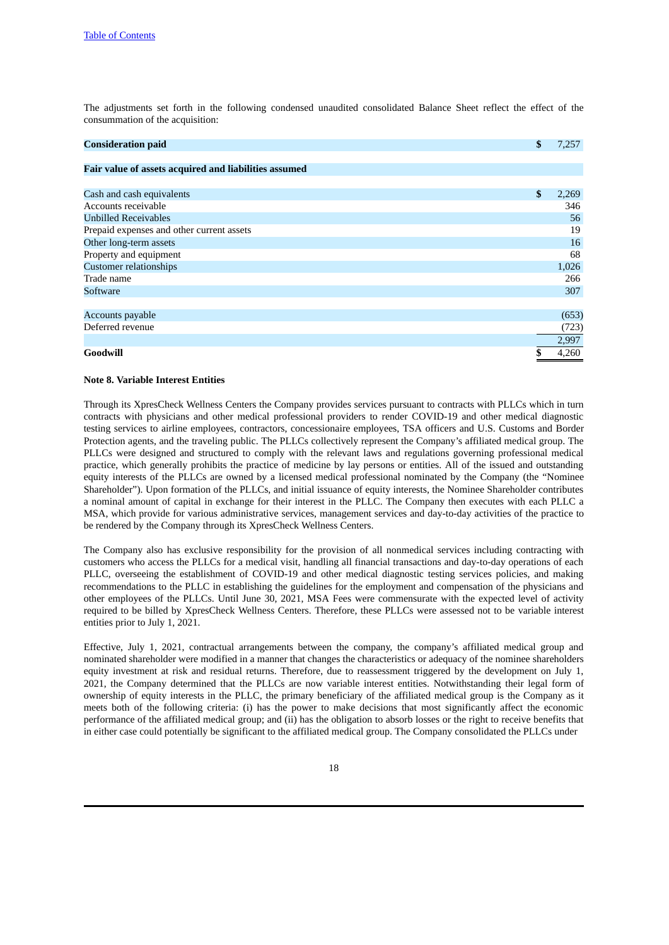The adjustments set forth in the following condensed unaudited consolidated Balance Sheet reflect the effect of the consummation of the acquisition:

| <b>Consideration paid</b>                             | \$<br>7,257 |
|-------------------------------------------------------|-------------|
| Fair value of assets acquired and liabilities assumed |             |
|                                                       |             |
| Cash and cash equivalents                             | \$<br>2,269 |
| Accounts receivable                                   | 346         |
| <b>Unbilled Receivables</b>                           | 56          |
| Prepaid expenses and other current assets             | 19          |
| Other long-term assets                                | 16          |
| Property and equipment                                | 68          |
| <b>Customer relationships</b>                         | 1,026       |
| Trade name                                            | 266         |
| Software                                              | 307         |
|                                                       |             |
| Accounts payable                                      | (653)       |
| Deferred revenue                                      | (723)       |
|                                                       | 2,997       |
| Goodwill                                              | \$<br>4,260 |

#### **Note 8. Variable Interest Entities**

Through its XpresCheck Wellness Centers the Company provides services pursuant to contracts with PLLCs which in turn contracts with physicians and other medical professional providers to render COVID-19 and other medical diagnostic testing services to airline employees, contractors, concessionaire employees, TSA officers and U.S. Customs and Border Protection agents, and the traveling public. The PLLCs collectively represent the Company's affiliated medical group. The PLLCs were designed and structured to comply with the relevant laws and regulations governing professional medical practice, which generally prohibits the practice of medicine by lay persons or entities. All of the issued and outstanding equity interests of the PLLCs are owned by a licensed medical professional nominated by the Company (the "Nominee Shareholder"). Upon formation of the PLLCs, and initial issuance of equity interests, the Nominee Shareholder contributes a nominal amount of capital in exchange for their interest in the PLLC. The Company then executes with each PLLC a MSA, which provide for various administrative services, management services and day-to-day activities of the practice to be rendered by the Company through its XpresCheck Wellness Centers.

The Company also has exclusive responsibility for the provision of all nonmedical services including contracting with customers who access the PLLCs for a medical visit, handling all financial transactions and day-to-day operations of each PLLC, overseeing the establishment of COVID-19 and other medical diagnostic testing services policies, and making recommendations to the PLLC in establishing the guidelines for the employment and compensation of the physicians and other employees of the PLLCs. Until June 30, 2021, MSA Fees were commensurate with the expected level of activity required to be billed by XpresCheck Wellness Centers. Therefore, these PLLCs were assessed not to be variable interest entities prior to July 1, 2021.

Effective, July 1, 2021, contractual arrangements between the company, the company's affiliated medical group and nominated shareholder were modified in a manner that changes the characteristics or adequacy of the nominee shareholders equity investment at risk and residual returns. Therefore, due to reassessment triggered by the development on July 1, 2021, the Company determined that the PLLCs are now variable interest entities. Notwithstanding their legal form of ownership of equity interests in the PLLC, the primary beneficiary of the affiliated medical group is the Company as it meets both of the following criteria: (i) has the power to make decisions that most significantly affect the economic performance of the affiliated medical group; and (ii) has the obligation to absorb losses or the right to receive benefits that in either case could potentially be significant to the affiliated medical group. The Company consolidated the PLLCs under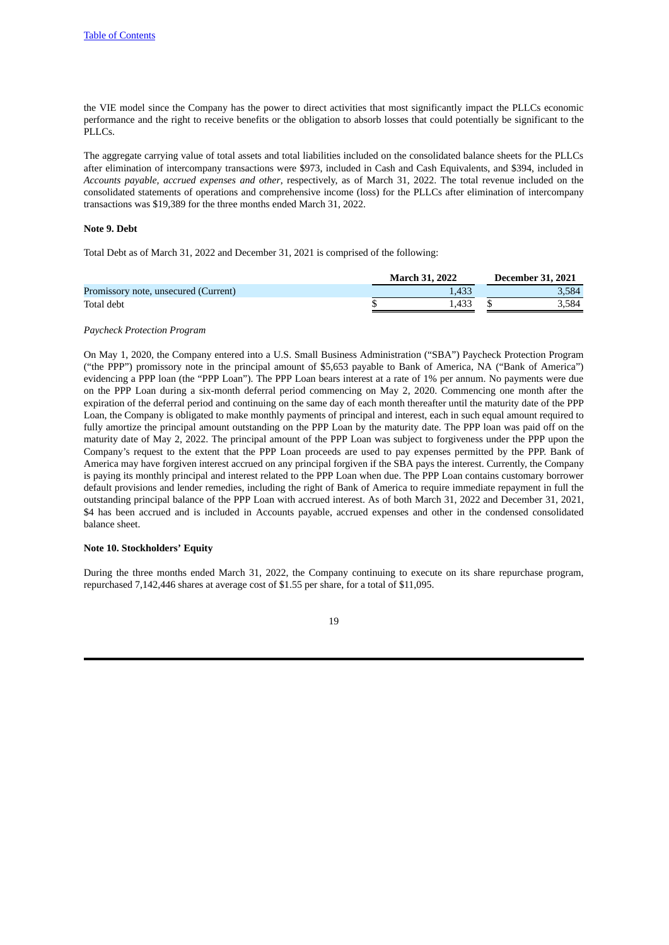the VIE model since the Company has the power to direct activities that most significantly impact the PLLCs economic performance and the right to receive benefits or the obligation to absorb losses that could potentially be significant to the PLLCs.

The aggregate carrying value of total assets and total liabilities included on the consolidated balance sheets for the PLLCs after elimination of intercompany transactions were \$973, included in Cash and Cash Equivalents, and \$394, included in *Accounts payable, accrued expenses and other*, respectively, as of March 31, 2022. The total revenue included on the consolidated statements of operations and comprehensive income (loss) for the PLLCs after elimination of intercompany transactions was \$19,389 for the three months ended March 31, 2022.

## **Note 9. Debt**

Total Debt as of March 31, 2022 and December 31, 2021 is comprised of the following:

|                                      | <b>March 31, 2022</b> | <b>December 31, 2021</b> |
|--------------------------------------|-----------------------|--------------------------|
| Promissory note, unsecured (Current) | 1.433                 | 3.584                    |
| Total debt                           | '.433                 | 3.584                    |

#### *Paycheck Protection Program*

On May 1, 2020, the Company entered into a U.S. Small Business Administration ("SBA") Paycheck Protection Program ("the PPP") promissory note in the principal amount of \$5,653 payable to Bank of America, NA ("Bank of America") evidencing a PPP loan (the "PPP Loan"). The PPP Loan bears interest at a rate of 1% per annum. No payments were due on the PPP Loan during a six-month deferral period commencing on May 2, 2020. Commencing one month after the expiration of the deferral period and continuing on the same day of each month thereafter until the maturity date of the PPP Loan, the Company is obligated to make monthly payments of principal and interest, each in such equal amount required to fully amortize the principal amount outstanding on the PPP Loan by the maturity date. The PPP loan was paid off on the maturity date of May 2, 2022. The principal amount of the PPP Loan was subject to forgiveness under the PPP upon the Company's request to the extent that the PPP Loan proceeds are used to pay expenses permitted by the PPP. Bank of America may have forgiven interest accrued on any principal forgiven if the SBA pays the interest. Currently, the Company is paying its monthly principal and interest related to the PPP Loan when due. The PPP Loan contains customary borrower default provisions and lender remedies, including the right of Bank of America to require immediate repayment in full the outstanding principal balance of the PPP Loan with accrued interest. As of both March 31, 2022 and December 31, 2021, \$4 has been accrued and is included in Accounts payable, accrued expenses and other in the condensed consolidated balance sheet.

## **Note 10. Stockholders' Equity**

During the three months ended March 31, 2022, the Company continuing to execute on its share repurchase program, repurchased 7,142,446 shares at average cost of \$1.55 per share, for a total of \$11,095.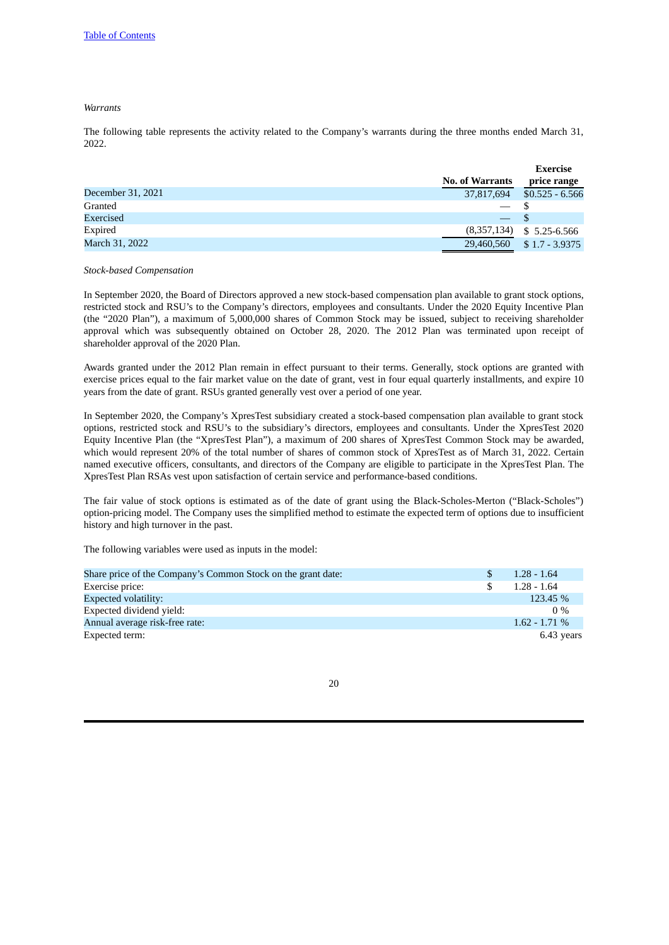## *Warrants*

The following table represents the activity related to the Company's warrants during the three months ended March 31, 2022.

|                   |                        | <b>Exercise</b>  |
|-------------------|------------------------|------------------|
|                   | <b>No. of Warrants</b> | price range      |
| December 31, 2021 | 37,817,694             | $$0.525 - 6.566$ |
| Granted           |                        |                  |
| Exercised         |                        |                  |
| Expired           | (8,357,134)            | $$5.25 - 6.566$  |
| March 31, 2022    | 29,460,560             | $$1.7 - 3.9375$  |

#### *Stock-based Compensation*

In September 2020, the Board of Directors approved a new stock-based compensation plan available to grant stock options, restricted stock and RSU's to the Company's directors, employees and consultants. Under the 2020 Equity Incentive Plan (the "2020 Plan"), a maximum of 5,000,000 shares of Common Stock may be issued, subject to receiving shareholder approval which was subsequently obtained on October 28, 2020. The 2012 Plan was terminated upon receipt of shareholder approval of the 2020 Plan.

Awards granted under the 2012 Plan remain in effect pursuant to their terms. Generally, stock options are granted with exercise prices equal to the fair market value on the date of grant, vest in four equal quarterly installments, and expire 10 years from the date of grant. RSUs granted generally vest over a period of one year.

In September 2020, the Company's XpresTest subsidiary created a stock-based compensation plan available to grant stock options, restricted stock and RSU's to the subsidiary's directors, employees and consultants. Under the XpresTest 2020 Equity Incentive Plan (the "XpresTest Plan"), a maximum of 200 shares of XpresTest Common Stock may be awarded, which would represent 20% of the total number of shares of common stock of XpresTest as of March 31, 2022. Certain named executive officers, consultants, and directors of the Company are eligible to participate in the XpresTest Plan. The XpresTest Plan RSAs vest upon satisfaction of certain service and performance-based conditions.

The fair value of stock options is estimated as of the date of grant using the Black-Scholes-Merton ("Black-Scholes") option-pricing model. The Company uses the simplified method to estimate the expected term of options due to insufficient history and high turnover in the past.

The following variables were used as inputs in the model:

| Share price of the Company's Common Stock on the grant date: | $1.28 - 1.64$   |
|--------------------------------------------------------------|-----------------|
| Exercise price:                                              | $1.28 - 1.64$   |
| Expected volatility:                                         | 123.45 %        |
| Expected dividend vield:                                     | $0\%$           |
| Annual average risk-free rate:                               | $1.62 - 1.71\%$ |
| Expected term:                                               | 6.43 years      |
|                                                              |                 |

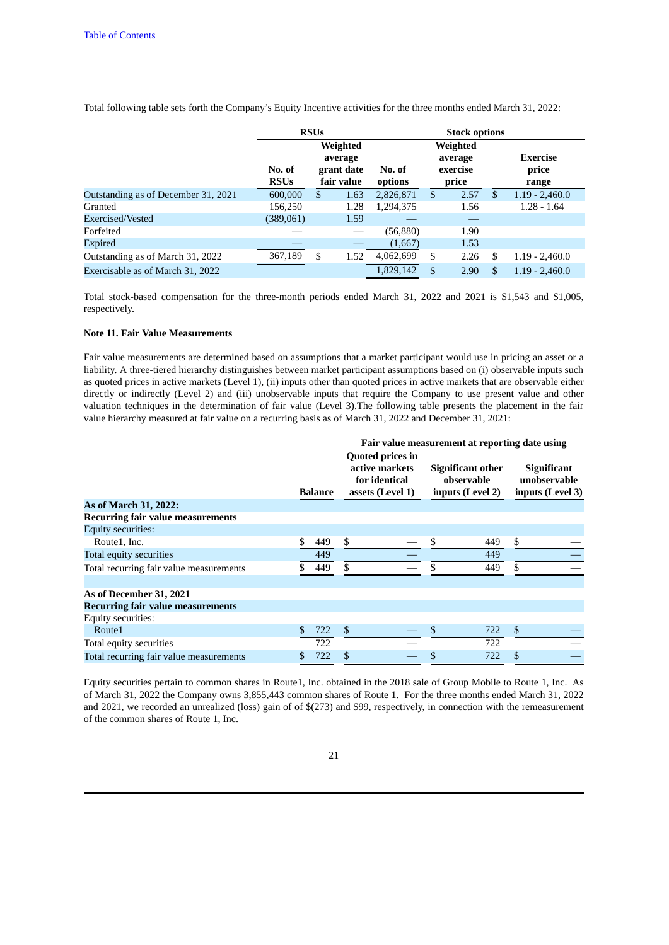Total following table sets forth the Company's Equity Incentive activities for the three months ended March 31, 2022:

|                                     |                       | <b>RSUs</b>                                     |      | <b>Stock options</b> |                                          |      |    |                                   |  |
|-------------------------------------|-----------------------|-------------------------------------------------|------|----------------------|------------------------------------------|------|----|-----------------------------------|--|
|                                     | No. of<br><b>RSUs</b> | Weighted<br>average<br>grant date<br>fair value |      | No. of<br>options    | Weighted<br>average<br>exercise<br>price |      |    | <b>Exercise</b><br>price<br>range |  |
| Outstanding as of December 31, 2021 | 600,000               | \$                                              | 1.63 | 2,826,871            | \$                                       | 2.57 | \$ | $1.19 - 2,460.0$                  |  |
| Granted                             | 156,250               |                                                 | 1.28 | 1,294,375            |                                          | 1.56 |    | $1.28 - 1.64$                     |  |
| Exercised/Vested                    | (389,061)             |                                                 | 1.59 |                      |                                          |      |    |                                   |  |
| Forfeited                           |                       |                                                 |      | (56, 880)            |                                          | 1.90 |    |                                   |  |
| <b>Expired</b>                      |                       |                                                 |      | (1,667)              |                                          | 1.53 |    |                                   |  |
| Outstanding as of March 31, 2022    | 367,189               | \$                                              | 1.52 | 4,062,699            | \$                                       | 2.26 | \$ | $1.19 - 2,460.0$                  |  |
| Exercisable as of March 31, 2022    |                       |                                                 |      | 1,829,142            | \$                                       | 2.90 |    | $1.19 - 2,460.0$                  |  |

Total stock-based compensation for the three-month periods ended March 31, 2022 and 2021 is \$1,543 and \$1,005, respectively.

#### **Note 11. Fair Value Measurements**

Fair value measurements are determined based on assumptions that a market participant would use in pricing an asset or a liability. A three-tiered hierarchy distinguishes between market participant assumptions based on (i) observable inputs such as quoted prices in active markets (Level 1), (ii) inputs other than quoted prices in active markets that are observable either directly or indirectly (Level 2) and (iii) unobservable inputs that require the Company to use present value and other valuation techniques in the determination of fair value (Level 3).The following table presents the placement in the fair value hierarchy measured at fair value on a recurring basis as of March 31, 2022 and December 31, 2021:

| Fair value measurement at reporting date using |               |         |                                                                                |    |                                                            |                                                        |  |  |
|------------------------------------------------|---------------|---------|--------------------------------------------------------------------------------|----|------------------------------------------------------------|--------------------------------------------------------|--|--|
|                                                |               | Balance | <b>Quoted prices in</b><br>active markets<br>for identical<br>assets (Level 1) |    | <b>Significant other</b><br>observable<br>inputs (Level 2) | <b>Significant</b><br>unobservable<br>inputs (Level 3) |  |  |
| As of March 31, 2022:                          |               |         |                                                                                |    |                                                            |                                                        |  |  |
| <b>Recurring fair value measurements</b>       |               |         |                                                                                |    |                                                            |                                                        |  |  |
| <b>Equity securities:</b>                      |               |         |                                                                                |    |                                                            |                                                        |  |  |
| Route1, Inc.                                   | \$.           | 449     | \$                                                                             | \$ | 449                                                        | \$                                                     |  |  |
| Total equity securities                        |               | 449     |                                                                                |    | 449                                                        |                                                        |  |  |
| Total recurring fair value measurements        |               | 449     | S.                                                                             | ፍ  | 449                                                        | \$                                                     |  |  |
| As of December 31, 2021                        |               |         |                                                                                |    |                                                            |                                                        |  |  |
| <b>Recurring fair value measurements</b>       |               |         |                                                                                |    |                                                            |                                                        |  |  |
| Equity securities:                             |               |         |                                                                                |    |                                                            |                                                        |  |  |
| Route1                                         | <sup>\$</sup> | 722     | \$                                                                             |    | 722                                                        | $\mathfrak{S}$                                         |  |  |
| Total equity securities                        |               | 722     |                                                                                |    | 722                                                        |                                                        |  |  |
| Total recurring fair value measurements        |               | 722     |                                                                                |    | 722                                                        |                                                        |  |  |

Equity securities pertain to common shares in Route1, Inc. obtained in the 2018 sale of Group Mobile to Route 1, Inc. As of March 31, 2022 the Company owns 3,855,443 common shares of Route 1. For the three months ended March 31, 2022 and 2021, we recorded an unrealized (loss) gain of of \$(273) and \$99, respectively, in connection with the remeasurement of the common shares of Route 1, Inc.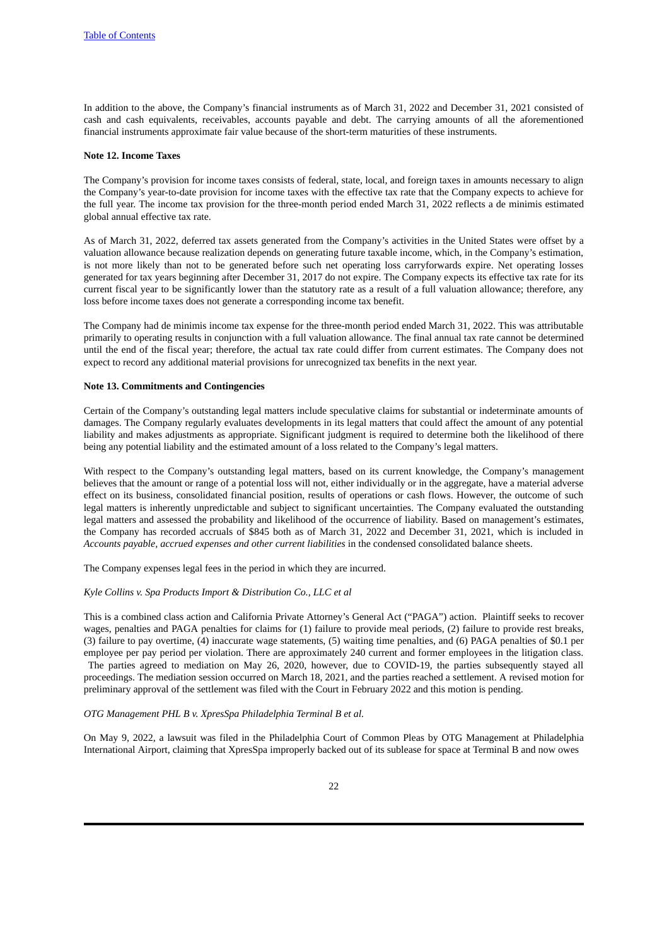In addition to the above, the Company's financial instruments as of March 31, 2022 and December 31, 2021 consisted of cash and cash equivalents, receivables, accounts payable and debt. The carrying amounts of all the aforementioned financial instruments approximate fair value because of the short-term maturities of these instruments.

## **Note 12. Income Taxes**

The Company's provision for income taxes consists of federal, state, local, and foreign taxes in amounts necessary to align the Company's year-to-date provision for income taxes with the effective tax rate that the Company expects to achieve for the full year. The income tax provision for the three-month period ended March 31, 2022 reflects a de minimis estimated global annual effective tax rate.

As of March 31, 2022, deferred tax assets generated from the Company's activities in the United States were offset by a valuation allowance because realization depends on generating future taxable income, which, in the Company's estimation, is not more likely than not to be generated before such net operating loss carryforwards expire. Net operating losses generated for tax years beginning after December 31, 2017 do not expire. The Company expects its effective tax rate for its current fiscal year to be significantly lower than the statutory rate as a result of a full valuation allowance; therefore, any loss before income taxes does not generate a corresponding income tax benefit.

The Company had de minimis income tax expense for the three-month period ended March 31, 2022. This was attributable primarily to operating results in conjunction with a full valuation allowance. The final annual tax rate cannot be determined until the end of the fiscal year; therefore, the actual tax rate could differ from current estimates. The Company does not expect to record any additional material provisions for unrecognized tax benefits in the next year.

## **Note 13. Commitments and Contingencies**

Certain of the Company's outstanding legal matters include speculative claims for substantial or indeterminate amounts of damages. The Company regularly evaluates developments in its legal matters that could affect the amount of any potential liability and makes adjustments as appropriate. Significant judgment is required to determine both the likelihood of there being any potential liability and the estimated amount of a loss related to the Company's legal matters.

With respect to the Company's outstanding legal matters, based on its current knowledge, the Company's management believes that the amount or range of a potential loss will not, either individually or in the aggregate, have a material adverse effect on its business, consolidated financial position, results of operations or cash flows. However, the outcome of such legal matters is inherently unpredictable and subject to significant uncertainties. The Company evaluated the outstanding legal matters and assessed the probability and likelihood of the occurrence of liability. Based on management's estimates, the Company has recorded accruals of \$845 both as of March 31, 2022 and December 31, 2021, which is included in *Accounts payable, accrued expenses and other current liabilities* in the condensed consolidated balance sheets.

The Company expenses legal fees in the period in which they are incurred.

#### *Kyle Collins v. Spa Products Import & Distribution Co., LLC et al*

This is a combined class action and California Private Attorney's General Act ("PAGA") action. Plaintiff seeks to recover wages, penalties and PAGA penalties for claims for (1) failure to provide meal periods, (2) failure to provide rest breaks, (3) failure to pay overtime, (4) inaccurate wage statements, (5) waiting time penalties, and (6) PAGA penalties of \$0.1 per employee per pay period per violation. There are approximately 240 current and former employees in the litigation class. The parties agreed to mediation on May 26, 2020, however, due to COVID-19, the parties subsequently stayed all

proceedings. The mediation session occurred on March 18, 2021, and the parties reached a settlement. A revised motion for preliminary approval of the settlement was filed with the Court in February 2022 and this motion is pending.

### *OTG Management PHL B v. XpresSpa Philadelphia Terminal B et al.*

On May 9, 2022, a lawsuit was filed in the Philadelphia Court of Common Pleas by OTG Management at Philadelphia International Airport, claiming that XpresSpa improperly backed out of its sublease for space at Terminal B and now owes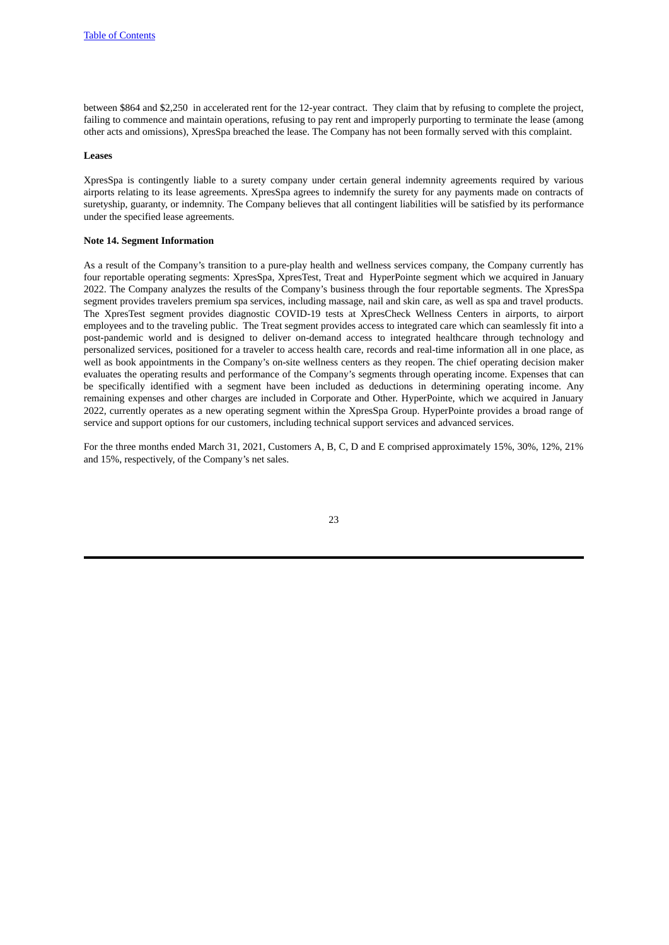between \$864 and \$2,250 in accelerated rent for the 12-year contract. They claim that by refusing to complete the project, failing to commence and maintain operations, refusing to pay rent and improperly purporting to terminate the lease (among other acts and omissions), XpresSpa breached the lease. The Company has not been formally served with this complaint.

#### **Leases**

XpresSpa is contingently liable to a surety company under certain general indemnity agreements required by various airports relating to its lease agreements. XpresSpa agrees to indemnify the surety for any payments made on contracts of suretyship, guaranty, or indemnity. The Company believes that all contingent liabilities will be satisfied by its performance under the specified lease agreements.

## **Note 14. Segment Information**

As a result of the Company's transition to a pure-play health and wellness services company, the Company currently has four reportable operating segments: XpresSpa, XpresTest, Treat and HyperPointe segment which we acquired in January 2022. The Company analyzes the results of the Company's business through the four reportable segments. The XpresSpa segment provides travelers premium spa services, including massage, nail and skin care, as well as spa and travel products. The XpresTest segment provides diagnostic COVID-19 tests at XpresCheck Wellness Centers in airports, to airport employees and to the traveling public. The Treat segment provides access to integrated care which can seamlessly fit into a post-pandemic world and is designed to deliver on-demand access to integrated healthcare through technology and personalized services, positioned for a traveler to access health care, records and real-time information all in one place, as well as book appointments in the Company's on-site wellness centers as they reopen. The chief operating decision maker evaluates the operating results and performance of the Company's segments through operating income. Expenses that can be specifically identified with a segment have been included as deductions in determining operating income. Any remaining expenses and other charges are included in Corporate and Other. HyperPointe, which we acquired in January 2022, currently operates as a new operating segment within the XpresSpa Group. HyperPointe provides a broad range of service and support options for our customers, including technical support services and advanced services.

For the three months ended March 31, 2021, Customers A, B, C, D and E comprised approximately 15%, 30%, 12%, 21% and 15%, respectively, of the Company's net sales.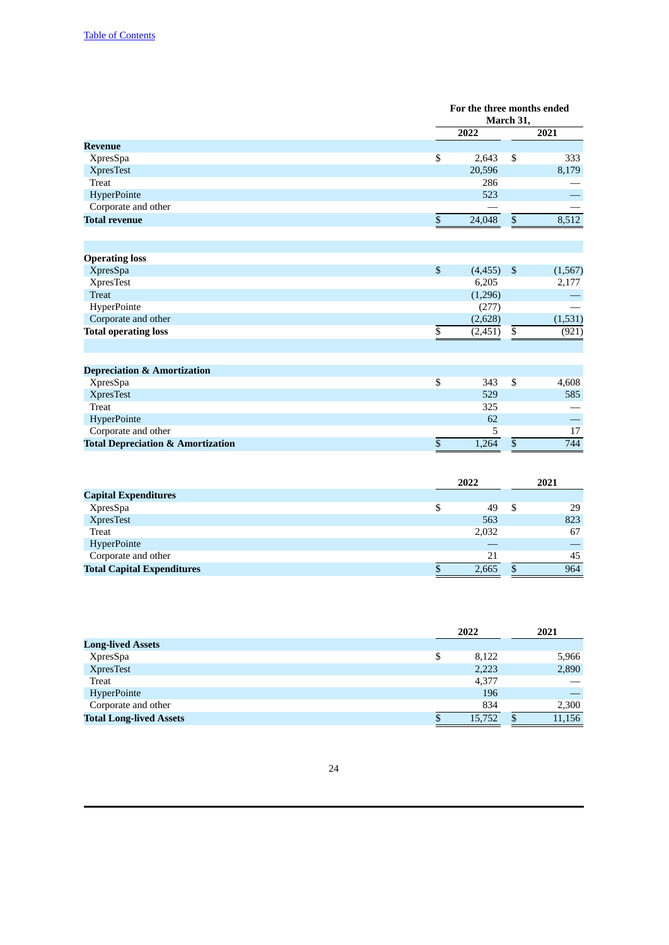|                                              |                          | For the three months ended<br>March 31, |                          |          |  |
|----------------------------------------------|--------------------------|-----------------------------------------|--------------------------|----------|--|
|                                              |                          | 2022                                    |                          | 2021     |  |
| <b>Revenue</b>                               |                          |                                         |                          |          |  |
| <b>XpresSpa</b>                              | $\overline{\mathcal{S}}$ | 2,643                                   | $\overline{\mathcal{S}}$ | 333      |  |
| <b>XpresTest</b>                             |                          | 20,596                                  |                          | 8,179    |  |
| <b>Treat</b>                                 |                          | 286                                     |                          |          |  |
| HyperPointe                                  |                          | 523                                     |                          |          |  |
| Corporate and other                          |                          |                                         |                          |          |  |
| <b>Total revenue</b>                         | \$                       | 24,048                                  | $\mathbb{S}$             | 8,512    |  |
|                                              |                          |                                         |                          |          |  |
| <b>Operating loss</b>                        |                          |                                         |                          |          |  |
| <b>XpresSpa</b>                              | \$                       | (4, 455)                                | $\mathfrak{s}$           | (1, 567) |  |
| <b>XpresTest</b>                             |                          | 6,205                                   |                          | 2,177    |  |
| <b>Treat</b>                                 |                          | (1,296)                                 |                          |          |  |
| HyperPointe                                  |                          | (277)                                   |                          |          |  |
| Corporate and other                          |                          | (2,628)                                 |                          | (1,531)  |  |
| <b>Total operating loss</b>                  | \$                       | (2, 451)                                | \$                       | (921)    |  |
|                                              |                          |                                         |                          |          |  |
| <b>Depreciation &amp; Amortization</b>       |                          |                                         |                          |          |  |
| <b>XpresSpa</b>                              | \$                       | 343                                     | \$                       | 4,608    |  |
| <b>XpresTest</b>                             |                          | 529                                     |                          | 585      |  |
| <b>Treat</b>                                 |                          | 325                                     |                          |          |  |
| HyperPointe                                  |                          | 62                                      |                          |          |  |
| Corporate and other                          |                          | 5                                       |                          | 17       |  |
| <b>Total Depreciation &amp; Amortization</b> | \$                       | 1,264                                   | \$                       | 744      |  |
|                                              |                          |                                         |                          |          |  |

|                                   | 2022  |   | 2021 |
|-----------------------------------|-------|---|------|
| <b>Capital Expenditures</b>       |       |   |      |
| <b>XpresSpa</b>                   | 49    | S | 29   |
| <b>XpresTest</b>                  | 563   |   | 823  |
| <b>Treat</b>                      | 2,032 |   | 67   |
| HyperPointe                       |       |   |      |
| Corporate and other               | 21    |   | 45   |
| <b>Total Capital Expenditures</b> | 2,665 |   | 964  |

|                                |   | 2022   | 2021 |        |  |
|--------------------------------|---|--------|------|--------|--|
| <b>Long-lived Assets</b>       |   |        |      |        |  |
| <b>XpresSpa</b>                | S | 8,122  |      | 5,966  |  |
| <b>XpresTest</b>               |   | 2,223  |      | 2,890  |  |
| <b>Treat</b>                   |   | 4,377  |      |        |  |
| HyperPointe                    |   | 196    |      |        |  |
| Corporate and other            |   | 834    |      | 2,300  |  |
| <b>Total Long-lived Assets</b> |   | 15,752 |      | 11,156 |  |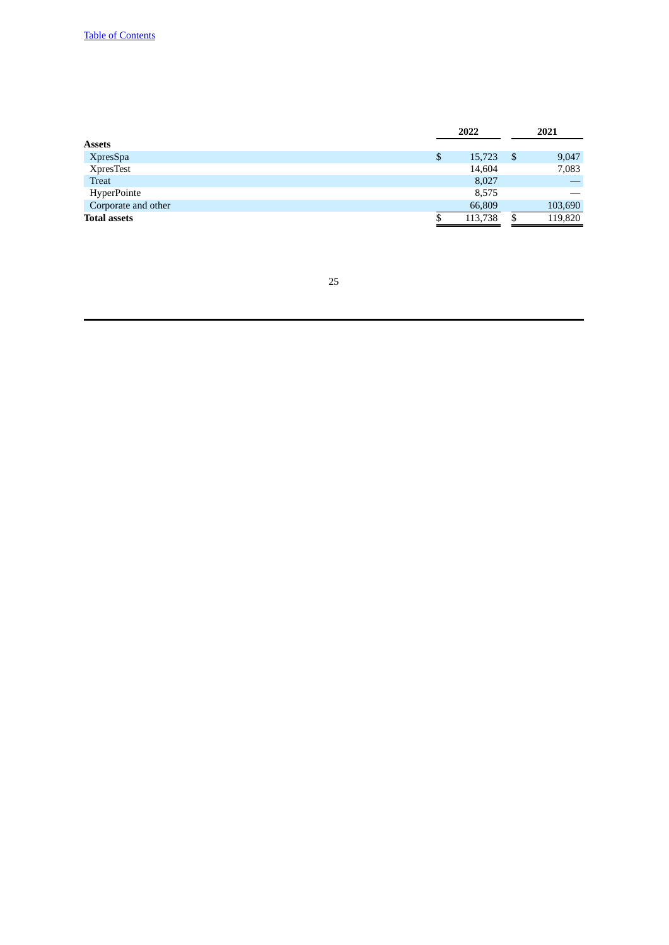| 2022         | 2021 |         |  |
|--------------|------|---------|--|
|              |      |         |  |
| \$<br>15,723 | -\$  | 9,047   |  |
| 14,604       |      | 7,083   |  |
| 8,027        |      |         |  |
| 8,575        |      |         |  |
| 66,809       |      | 103,690 |  |
| 113,738      | \$   | 119,820 |  |
|              |      |         |  |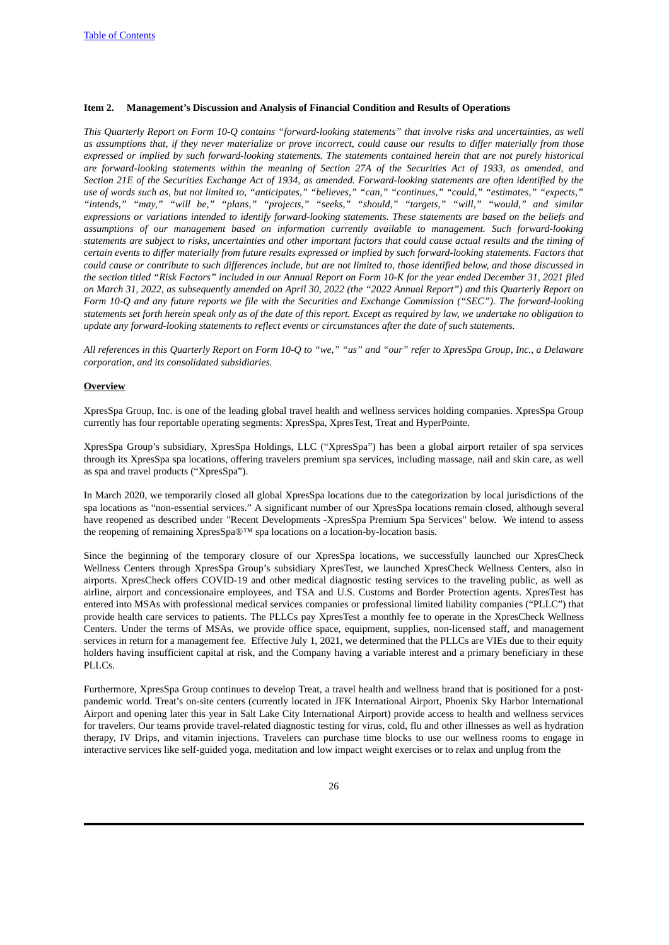## <span id="page-25-0"></span>**Item 2. Management's Discussion and Analysis of Financial Condition and Results of Operations**

This Quarterly Report on Form 10-Q contains "forward-looking statements" that involve risks and uncertainties, as well as assumptions that, if they never materialize or prove incorrect, could cause our results to differ materially from those expressed or implied by such forward-looking statements. The statements contained herein that are not purely historical are forward-looking statements within the meaning of Section 27A of the Securities Act of 1933, as amended, and Section 21E of the Securities Exchange Act of 1934, as amended. Forward-looking statements are often identified by the use of words such as, but not limited to, "anticipates," "believes," "can," "continues," "could," "estimates," "expects," *"intends," "may," "will be," "plans," "projects," "seeks," "should," "targets," "will," "would," and similar* expressions or variations intended to identify forward-looking statements. These statements are based on the beliefs and *assumptions of our management based on information currently available to management. Such forward-looking* statements are subject to risks, uncertainties and other important factors that could cause actual results and the timing of certain events to differ materially from future results expressed or implied by such forward-looking statements. Factors that could cause or contribute to such differences include, but are not limited to, those identified below, and those discussed in the section titled "Risk Factors" included in our Annual Report on Form 10-K for the year ended December 31, 2021 filed on March 31, 2022, as subsequently amended on April 30, 2022 (the "2022 Annual Report") and this Quarterly Report on Form 10-Q and any future reports we file with the Securities and Exchange Commission ("SEC"). The forward-looking statements set forth herein speak only as of the date of this report. Except as required by law, we undertake no obligation to *update any forward-looking statements to reflect events or circumstances after the date of such statements.*

All references in this Quarterly Report on Form 10-Q to "we," "us" and "our" refer to XpresSpa Group, Inc., a Delaware *corporation, and its consolidated subsidiaries.*

#### **Overview**

XpresSpa Group, Inc. is one of the leading global travel health and wellness services holding companies. XpresSpa Group currently has four reportable operating segments: XpresSpa, XpresTest, Treat and HyperPointe.

XpresSpa Group's subsidiary, XpresSpa Holdings, LLC ("XpresSpa") has been a global airport retailer of spa services through its XpresSpa spa locations, offering travelers premium spa services, including massage, nail and skin care, as well as spa and travel products ("XpresSpa").

In March 2020, we temporarily closed all global XpresSpa locations due to the categorization by local jurisdictions of the spa locations as "non-essential services." A significant number of our XpresSpa locations remain closed, although several have reopened as described under "Recent Developments -XpresSpa Premium Spa Services" below. We intend to assess the reopening of remaining XpresSpa®™ spa locations on a location-by-location basis.

Since the beginning of the temporary closure of our XpresSpa locations, we successfully launched our XpresCheck Wellness Centers through XpresSpa Group's subsidiary XpresTest, we launched XpresCheck Wellness Centers, also in airports. XpresCheck offers COVID-19 and other medical diagnostic testing services to the traveling public, as well as airline, airport and concessionaire employees, and TSA and U.S. Customs and Border Protection agents. XpresTest has entered into MSAs with professional medical services companies or professional limited liability companies ("PLLC") that provide health care services to patients. The PLLCs pay XpresTest a monthly fee to operate in the XpresCheck Wellness Centers. Under the terms of MSAs, we provide office space, equipment, supplies, non-licensed staff, and management services in return for a management fee. Effective July 1, 2021, we determined that the PLLCs are VIEs due to their equity holders having insufficient capital at risk, and the Company having a variable interest and a primary beneficiary in these PLLCs.

Furthermore, XpresSpa Group continues to develop Treat, a travel health and wellness brand that is positioned for a postpandemic world. Treat's on-site centers (currently located in JFK International Airport, Phoenix Sky Harbor International Airport and opening later this year in Salt Lake City International Airport) provide access to health and wellness services for travelers. Our teams provide travel-related diagnostic testing for virus, cold, flu and other illnesses as well as hydration therapy, IV Drips, and vitamin injections. Travelers can purchase time blocks to use our wellness rooms to engage in interactive services like self-guided yoga, meditation and low impact weight exercises or to relax and unplug from the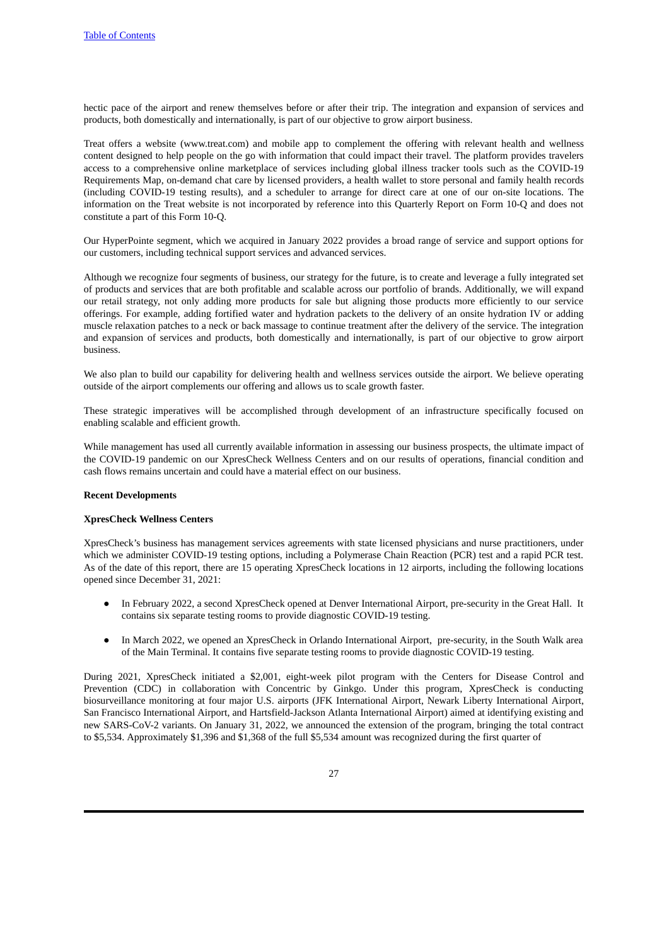hectic pace of the airport and renew themselves before or after their trip. The integration and expansion of services and products, both domestically and internationally, is part of our objective to grow airport business.

Treat offers a website (www.treat.com) and mobile app to complement the offering with relevant health and wellness content designed to help people on the go with information that could impact their travel. The platform provides travelers access to a comprehensive online marketplace of services including global illness tracker tools such as the COVID-19 Requirements Map, on-demand chat care by licensed providers, a health wallet to store personal and family health records (including COVID-19 testing results), and a scheduler to arrange for direct care at one of our on-site locations. The information on the Treat website is not incorporated by reference into this Quarterly Report on Form 10-Q and does not constitute a part of this Form 10-Q.

Our HyperPointe segment, which we acquired in January 2022 provides a broad range of service and support options for our customers, including technical support services and advanced services.

Although we recognize four segments of business, our strategy for the future, is to create and leverage a fully integrated set of products and services that are both profitable and scalable across our portfolio of brands. Additionally, we will expand our retail strategy, not only adding more products for sale but aligning those products more efficiently to our service offerings. For example, adding fortified water and hydration packets to the delivery of an onsite hydration IV or adding muscle relaxation patches to a neck or back massage to continue treatment after the delivery of the service. The integration and expansion of services and products, both domestically and internationally, is part of our objective to grow airport business.

We also plan to build our capability for delivering health and wellness services outside the airport. We believe operating outside of the airport complements our offering and allows us to scale growth faster.

These strategic imperatives will be accomplished through development of an infrastructure specifically focused on enabling scalable and efficient growth.

While management has used all currently available information in assessing our business prospects, the ultimate impact of the COVID-19 pandemic on our XpresCheck Wellness Centers and on our results of operations, financial condition and cash flows remains uncertain and could have a material effect on our business.

## **Recent Developments**

#### **XpresCheck Wellness Centers**

XpresCheck's business has management services agreements with state licensed physicians and nurse practitioners, under which we administer COVID-19 testing options, including a Polymerase Chain Reaction (PCR) test and a rapid PCR test. As of the date of this report, there are 15 operating XpresCheck locations in 12 airports, including the following locations opened since December 31, 2021:

- In February 2022, a second XpresCheck opened at Denver International Airport, pre-security in the Great Hall. It contains six separate testing rooms to provide diagnostic COVID-19 testing.
- In March 2022, we opened an XpresCheck in Orlando International Airport, pre-security, in the South Walk area of the Main Terminal. It contains five separate testing rooms to provide diagnostic COVID-19 testing.

During 2021, XpresCheck initiated a \$2,001, eight-week pilot program with the Centers for Disease Control and Prevention (CDC) in collaboration with Concentric by Ginkgo. Under this program, XpresCheck is conducting biosurveillance monitoring at four major U.S. airports (JFK International Airport, Newark Liberty International Airport, San Francisco International Airport, and Hartsfield-Jackson Atlanta International Airport) aimed at identifying existing and new SARS-CoV-2 variants. On January 31, 2022, we announced the extension of the program, bringing the total contract to \$5,534. Approximately \$1,396 and \$1,368 of the full \$5,534 amount was recognized during the first quarter of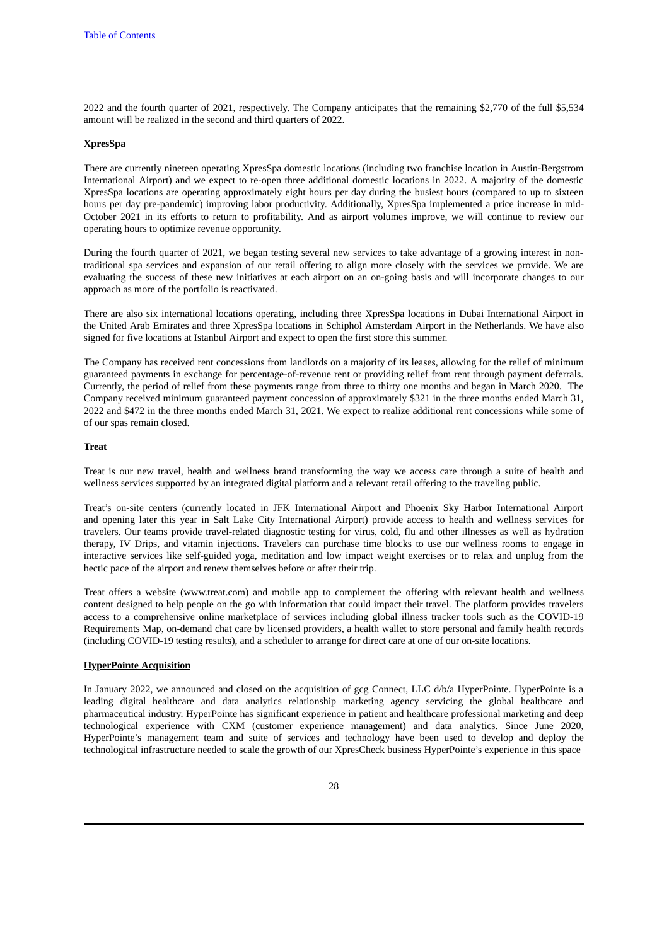2022 and the fourth quarter of 2021, respectively. The Company anticipates that the remaining \$2,770 of the full \$5,534 amount will be realized in the second and third quarters of 2022.

#### **XpresSpa**

There are currently nineteen operating XpresSpa domestic locations (including two franchise location in Austin-Bergstrom International Airport) and we expect to re-open three additional domestic locations in 2022. A majority of the domestic XpresSpa locations are operating approximately eight hours per day during the busiest hours (compared to up to sixteen hours per day pre-pandemic) improving labor productivity. Additionally, XpresSpa implemented a price increase in mid-October 2021 in its efforts to return to profitability. And as airport volumes improve, we will continue to review our operating hours to optimize revenue opportunity.

During the fourth quarter of 2021, we began testing several new services to take advantage of a growing interest in nontraditional spa services and expansion of our retail offering to align more closely with the services we provide. We are evaluating the success of these new initiatives at each airport on an on-going basis and will incorporate changes to our approach as more of the portfolio is reactivated.

There are also six international locations operating, including three XpresSpa locations in Dubai International Airport in the United Arab Emirates and three XpresSpa locations in Schiphol Amsterdam Airport in the Netherlands. We have also signed for five locations at Istanbul Airport and expect to open the first store this summer.

The Company has received rent concessions from landlords on a majority of its leases, allowing for the relief of minimum guaranteed payments in exchange for percentage-of-revenue rent or providing relief from rent through payment deferrals. Currently, the period of relief from these payments range from three to thirty one months and began in March 2020. The Company received minimum guaranteed payment concession of approximately \$321 in the three months ended March 31, 2022 and \$472 in the three months ended March 31, 2021. We expect to realize additional rent concessions while some of of our spas remain closed.

## **Treat**

Treat is our new travel, health and wellness brand transforming the way we access care through a suite of health and wellness services supported by an integrated digital platform and a relevant retail offering to the traveling public.

Treat's on-site centers (currently located in JFK International Airport and Phoenix Sky Harbor International Airport and opening later this year in Salt Lake City International Airport) provide access to health and wellness services for travelers. Our teams provide travel-related diagnostic testing for virus, cold, flu and other illnesses as well as hydration therapy, IV Drips, and vitamin injections. Travelers can purchase time blocks to use our wellness rooms to engage in interactive services like self-guided yoga, meditation and low impact weight exercises or to relax and unplug from the hectic pace of the airport and renew themselves before or after their trip.

Treat offers a website (www.treat.com) and mobile app to complement the offering with relevant health and wellness content designed to help people on the go with information that could impact their travel. The platform provides travelers access to a comprehensive online marketplace of services including global illness tracker tools such as the COVID-19 Requirements Map, on-demand chat care by licensed providers, a health wallet to store personal and family health records (including COVID-19 testing results), and a scheduler to arrange for direct care at one of our on-site locations.

#### **HyperPointe Acquisition**

In January 2022, we announced and closed on the acquisition of gcg Connect, LLC d/b/a HyperPointe. HyperPointe is a leading digital healthcare and data analytics relationship marketing agency servicing the global healthcare and pharmaceutical industry. HyperPointe has significant experience in patient and healthcare professional marketing and deep technological experience with CXM (customer experience management) and data analytics. Since June 2020, HyperPointe's management team and suite of services and technology have been used to develop and deploy the technological infrastructure needed to scale the growth of our XpresCheck business HyperPointe's experience in this space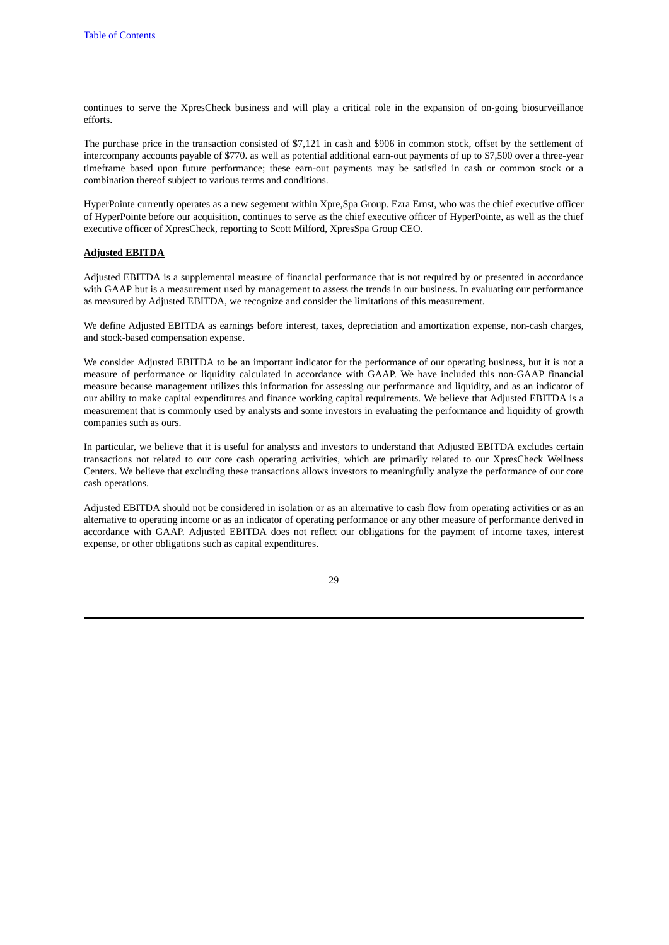continues to serve the XpresCheck business and will play a critical role in the expansion of on-going biosurveillance efforts.

The purchase price in the transaction consisted of \$7,121 in cash and \$906 in common stock, offset by the settlement of intercompany accounts payable of \$770. as well as potential additional earn-out payments of up to \$7,500 over a three-year timeframe based upon future performance; these earn-out payments may be satisfied in cash or common stock or a combination thereof subject to various terms and conditions.

HyperPointe currently operates as a new segement within Xpre,Spa Group. Ezra Ernst, who was the chief executive officer of HyperPointe before our acquisition, continues to serve as the chief executive officer of HyperPointe, as well as the chief executive officer of XpresCheck, reporting to Scott Milford, XpresSpa Group CEO.

#### **Adjusted EBITDA**

Adjusted EBITDA is a supplemental measure of financial performance that is not required by or presented in accordance with GAAP but is a measurement used by management to assess the trends in our business. In evaluating our performance as measured by Adjusted EBITDA, we recognize and consider the limitations of this measurement.

We define Adjusted EBITDA as earnings before interest, taxes, depreciation and amortization expense, non-cash charges, and stock-based compensation expense.

We consider Adjusted EBITDA to be an important indicator for the performance of our operating business, but it is not a measure of performance or liquidity calculated in accordance with GAAP. We have included this non-GAAP financial measure because management utilizes this information for assessing our performance and liquidity, and as an indicator of our ability to make capital expenditures and finance working capital requirements. We believe that Adjusted EBITDA is a measurement that is commonly used by analysts and some investors in evaluating the performance and liquidity of growth companies such as ours.

In particular, we believe that it is useful for analysts and investors to understand that Adjusted EBITDA excludes certain transactions not related to our core cash operating activities, which are primarily related to our XpresCheck Wellness Centers. We believe that excluding these transactions allows investors to meaningfully analyze the performance of our core cash operations.

Adjusted EBITDA should not be considered in isolation or as an alternative to cash flow from operating activities or as an alternative to operating income or as an indicator of operating performance or any other measure of performance derived in accordance with GAAP. Adjusted EBITDA does not reflect our obligations for the payment of income taxes, interest expense, or other obligations such as capital expenditures.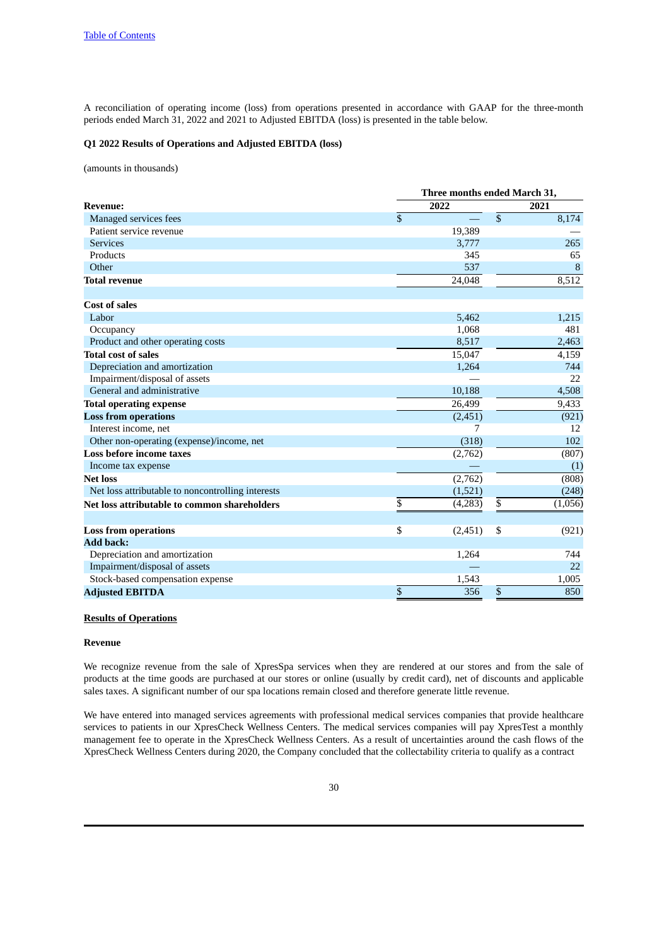A reconciliation of operating income (loss) from operations presented in accordance with GAAP for the three-month periods ended March 31, 2022 and 2021 to Adjusted EBITDA (loss) is presented in the table below.

## **Q1 2022 Results of Operations and Adjusted EBITDA (loss)**

(amounts in thousands)

|                                                   | Three months ended March 31, |          |                 |         |
|---------------------------------------------------|------------------------------|----------|-----------------|---------|
| <b>Revenue:</b>                                   |                              | 2022     |                 | 2021    |
| Managed services fees                             | \$                           |          | $\overline{\$}$ | 8,174   |
| Patient service revenue                           |                              | 19,389   |                 |         |
| <b>Services</b>                                   |                              | 3,777    |                 | 265     |
| Products                                          |                              | 345      |                 | 65      |
| Other                                             |                              | 537      |                 | 8       |
| <b>Total revenue</b>                              |                              | 24,048   |                 | 8,512   |
| <b>Cost of sales</b>                              |                              |          |                 |         |
| Labor                                             |                              | 5,462    |                 | 1,215   |
| Occupancy                                         |                              | 1,068    |                 | 481     |
| Product and other operating costs                 |                              | 8,517    |                 | 2,463   |
| <b>Total cost of sales</b>                        |                              | 15,047   |                 | 4,159   |
| Depreciation and amortization                     |                              | 1,264    |                 | 744     |
| Impairment/disposal of assets                     |                              |          |                 | 22      |
| General and administrative                        |                              | 10,188   |                 | 4,508   |
| <b>Total operating expense</b>                    |                              | 26,499   |                 | 9,433   |
| <b>Loss from operations</b>                       |                              | (2, 451) |                 | (921)   |
| Interest income, net                              |                              | 7        |                 | 12      |
| Other non-operating (expense)/income, net         |                              | (318)    |                 | 102     |
| <b>Loss before income taxes</b>                   |                              | (2,762)  |                 | (807)   |
| Income tax expense                                |                              |          |                 | (1)     |
| <b>Net loss</b>                                   |                              | (2,762)  |                 | (808)   |
| Net loss attributable to noncontrolling interests |                              | (1,521)  |                 | (248)   |
| Net loss attributable to common shareholders      | \$                           | (4,283)  | \$              | (1,056) |
| <b>Loss from operations</b>                       | \$                           | (2,451)  | \$              | (921)   |
| <b>Add back:</b>                                  |                              |          |                 |         |
| Depreciation and amortization                     |                              | 1,264    |                 | 744     |
| Impairment/disposal of assets                     |                              |          |                 | 22      |
| Stock-based compensation expense                  |                              | 1,543    |                 | 1,005   |
| <b>Adjusted EBITDA</b>                            | \$                           | 356      | \$              | 850     |

## **Results of Operations**

#### **Revenue**

We recognize revenue from the sale of XpresSpa services when they are rendered at our stores and from the sale of products at the time goods are purchased at our stores or online (usually by credit card), net of discounts and applicable sales taxes. A significant number of our spa locations remain closed and therefore generate little revenue.

We have entered into managed services agreements with professional medical services companies that provide healthcare services to patients in our XpresCheck Wellness Centers. The medical services companies will pay XpresTest a monthly management fee to operate in the XpresCheck Wellness Centers. As a result of uncertainties around the cash flows of the XpresCheck Wellness Centers during 2020, the Company concluded that the collectability criteria to qualify as a contract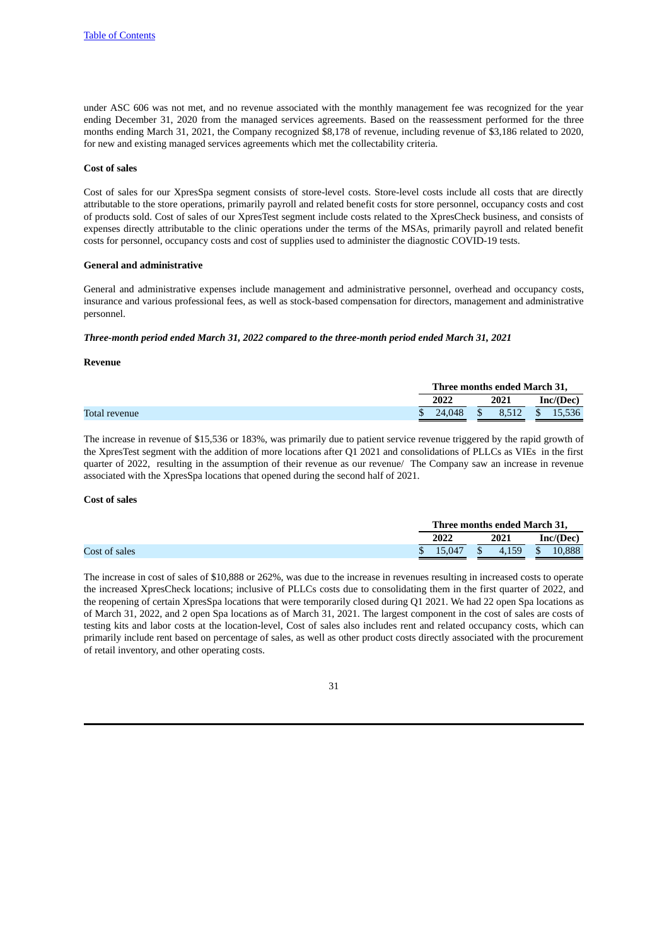under ASC 606 was not met, and no revenue associated with the monthly management fee was recognized for the year ending December 31, 2020 from the managed services agreements. Based on the reassessment performed for the three months ending March 31, 2021, the Company recognized \$8,178 of revenue, including revenue of \$3,186 related to 2020, for new and existing managed services agreements which met the collectability criteria.

### **Cost of sales**

Cost of sales for our XpresSpa segment consists of store-level costs. Store-level costs include all costs that are directly attributable to the store operations, primarily payroll and related benefit costs for store personnel, occupancy costs and cost of products sold. Cost of sales of our XpresTest segment include costs related to the XpresCheck business, and consists of expenses directly attributable to the clinic operations under the terms of the MSAs, primarily payroll and related benefit costs for personnel, occupancy costs and cost of supplies used to administer the diagnostic COVID-19 tests.

## **General and administrative**

General and administrative expenses include management and administrative personnel, overhead and occupancy costs, insurance and various professional fees, as well as stock-based compensation for directors, management and administrative personnel.

### *Three-month period ended March 31, 2022 compared to the three-month period ended March 31, 2021*

#### **Revenue**

|               | Three months ended March 31, |              |      |           |                 |
|---------------|------------------------------|--------------|------|-----------|-----------------|
|               | 2022                         |              | 2021 | Inc/(Dec) |                 |
| Total revenue | 24.048                       | $^{\circ}$ S |      |           | 8,512 \$ 15,536 |
|               |                              |              |      |           |                 |

The increase in revenue of \$15,536 or 183%, was primarily due to patient service revenue triggered by the rapid growth of the XpresTest segment with the addition of more locations after Q1 2021 and consolidations of PLLCs as VIEs in the first quarter of 2022, resulting in the assumption of their revenue as our revenue/ The Company saw an increase in revenue associated with the XpresSpa locations that opened during the second half of 2021.

## **Cost of sales**

|               | Three months ended March 31, |  |                     |          |           |  |
|---------------|------------------------------|--|---------------------|----------|-----------|--|
|               | 2022                         |  | 2021                |          | Inc/(Dec) |  |
| Cost of sales | 15.047                       |  | $\frac{1}{2}$ 4.159 | $\sim$ S | 10.888    |  |
|               |                              |  |                     |          |           |  |

The increase in cost of sales of \$10,888 or 262%, was due to the increase in revenues resulting in increased costs to operate the increased XpresCheck locations; inclusive of PLLCs costs due to consolidating them in the first quarter of 2022, and the reopening of certain XpresSpa locations that were temporarily closed during Q1 2021. We had 22 open Spa locations as of March 31, 2022, and 2 open Spa locations as of March 31, 2021. The largest component in the cost of sales are costs of testing kits and labor costs at the location-level, Cost of sales also includes rent and related occupancy costs, which can primarily include rent based on percentage of sales, as well as other product costs directly associated with the procurement of retail inventory, and other operating costs.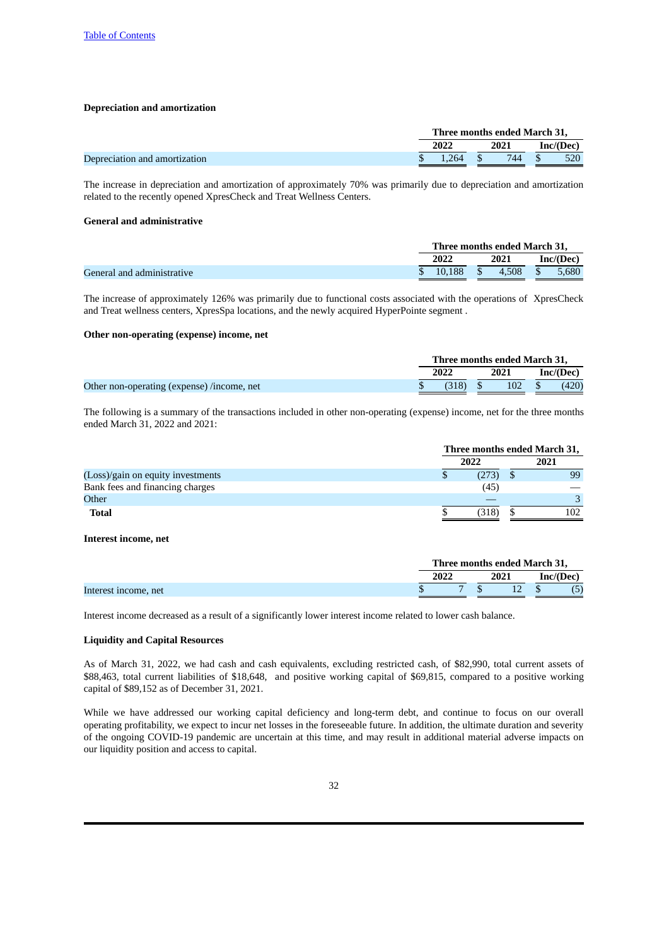#### **Depreciation and amortization**

|                               |  |                      | Three months ended March 31, |           |
|-------------------------------|--|----------------------|------------------------------|-----------|
|                               |  | 2022                 | 2021                         | Inc/(Dec) |
| Depreciation and amortization |  | $\frac{1.264}{ }$ \$ | 744 \$                       | - 520     |

The increase in depreciation and amortization of approximately 70% was primarily due to depreciation and amortization related to the recently opened XpresCheck and Treat Wellness Centers.

## **General and administrative**

|                            | Three months ended March 31, |          |       |      |           |
|----------------------------|------------------------------|----------|-------|------|-----------|
|                            | 2022                         |          | 2021  |      | Inc/(Dec) |
| General and administrative | 10.188                       | $\sim$ s | 4.508 | - \$ | 5.680     |
|                            |                              |          |       |      |           |

The increase of approximately 126% was primarily due to functional costs associated with the operations of XpresCheck and Treat wellness centers, XpresSpa locations, and the newly acquired HyperPointe segment .

#### **Other non-operating (expense) income, net**

|                                            | Three months ended March 31, |                |           |
|--------------------------------------------|------------------------------|----------------|-----------|
|                                            | 2022                         | 2021           | Inc/(Dec) |
| Other non-operating (expense) /income, net | (318)                        | $102 \quad$ \$ | (420)     |

The following is a summary of the transactions included in other non-operating (expense) income, net for the three months ended March 31, 2022 and 2021:

|                                   | Three months ended March 31, |  |      |  |  |
|-----------------------------------|------------------------------|--|------|--|--|
|                                   | 2022                         |  | 2021 |  |  |
| (Loss)/gain on equity investments | (273)                        |  | 99   |  |  |
| Bank fees and financing charges   | (45)                         |  |      |  |  |
| Other                             |                              |  |      |  |  |
| <b>Total</b>                      | (318)                        |  | 102  |  |  |

#### **Interest income, net**

|                      |      | Three months ended March 31, |           |
|----------------------|------|------------------------------|-----------|
|                      | 2022 | 2021                         | Inc/(Dec) |
| Interest income, net |      |                              | (5)       |

Interest income decreased as a result of a significantly lower interest income related to lower cash balance.

## **Liquidity and Capital Resources**

As of March 31, 2022, we had cash and cash equivalents, excluding restricted cash, of \$82,990, total current assets of \$88,463, total current liabilities of \$18,648, and positive working capital of \$69,815, compared to a positive working capital of \$89,152 as of December 31, 2021.

While we have addressed our working capital deficiency and long-term debt, and continue to focus on our overall operating profitability, we expect to incur net losses in the foreseeable future. In addition, the ultimate duration and severity of the ongoing COVID-19 pandemic are uncertain at this time, and may result in additional material adverse impacts on our liquidity position and access to capital.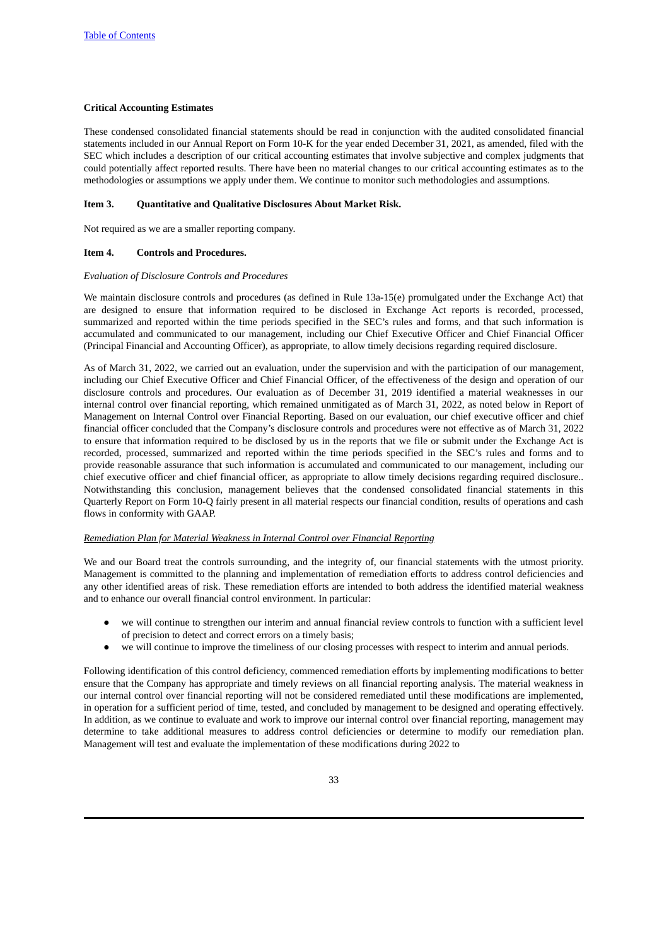## **Critical Accounting Estimates**

These condensed consolidated financial statements should be read in conjunction with the audited consolidated financial statements included in our Annual Report on Form 10-K for the year ended December 31, 2021, as amended, filed with the SEC which includes a description of our critical accounting estimates that involve subjective and complex judgments that could potentially affect reported results. There have been no material changes to our critical accounting estimates as to the methodologies or assumptions we apply under them. We continue to monitor such methodologies and assumptions.

## <span id="page-32-0"></span>**Item 3. Quantitative and Qualitative Disclosures About Market Risk.**

Not required as we are a smaller reporting company.

## <span id="page-32-1"></span>**Item 4. Controls and Procedures.**

#### *Evaluation of Disclosure Controls and Procedures*

We maintain disclosure controls and procedures (as defined in Rule 13a-15(e) promulgated under the Exchange Act) that are designed to ensure that information required to be disclosed in Exchange Act reports is recorded, processed, summarized and reported within the time periods specified in the SEC's rules and forms, and that such information is accumulated and communicated to our management, including our Chief Executive Officer and Chief Financial Officer (Principal Financial and Accounting Officer), as appropriate, to allow timely decisions regarding required disclosure.

As of March 31, 2022, we carried out an evaluation, under the supervision and with the participation of our management, including our Chief Executive Officer and Chief Financial Officer, of the effectiveness of the design and operation of our disclosure controls and procedures. Our evaluation as of December 31, 2019 identified a material weaknesses in our internal control over financial reporting, which remained unmitigated as of March 31, 2022, as noted below in Report of Management on Internal Control over Financial Reporting. Based on our evaluation, our chief executive officer and chief financial officer concluded that the Company's disclosure controls and procedures were not effective as of March 31, 2022 to ensure that information required to be disclosed by us in the reports that we file or submit under the Exchange Act is recorded, processed, summarized and reported within the time periods specified in the SEC's rules and forms and to provide reasonable assurance that such information is accumulated and communicated to our management, including our chief executive officer and chief financial officer, as appropriate to allow timely decisions regarding required disclosure.. Notwithstanding this conclusion, management believes that the condensed consolidated financial statements in this Quarterly Report on Form 10-Q fairly present in all material respects our financial condition, results of operations and cash flows in conformity with GAAP.

#### *Remediation Plan for Material Weakness in Internal Control over Financial Reporting*

We and our Board treat the controls surrounding, and the integrity of, our financial statements with the utmost priority. Management is committed to the planning and implementation of remediation efforts to address control deficiencies and any other identified areas of risk. These remediation efforts are intended to both address the identified material weakness and to enhance our overall financial control environment. In particular:

- we will continue to strengthen our interim and annual financial review controls to function with a sufficient level of precision to detect and correct errors on a timely basis;
- we will continue to improve the timeliness of our closing processes with respect to interim and annual periods.

Following identification of this control deficiency, commenced remediation efforts by implementing modifications to better ensure that the Company has appropriate and timely reviews on all financial reporting analysis. The material weakness in our internal control over financial reporting will not be considered remediated until these modifications are implemented, in operation for a sufficient period of time, tested, and concluded by management to be designed and operating effectively. In addition, as we continue to evaluate and work to improve our internal control over financial reporting, management may determine to take additional measures to address control deficiencies or determine to modify our remediation plan. Management will test and evaluate the implementation of these modifications during 2022 to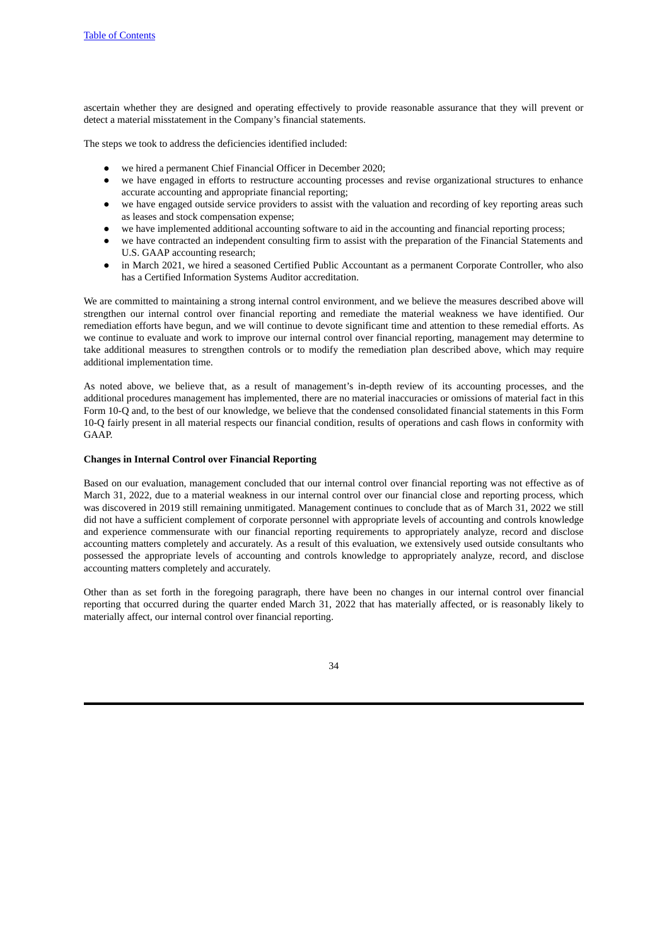ascertain whether they are designed and operating effectively to provide reasonable assurance that they will prevent or detect a material misstatement in the Company's financial statements.

The steps we took to address the deficiencies identified included:

- we hired a permanent Chief Financial Officer in December 2020;
- we have engaged in efforts to restructure accounting processes and revise organizational structures to enhance accurate accounting and appropriate financial reporting;
- we have engaged outside service providers to assist with the valuation and recording of key reporting areas such as leases and stock compensation expense;
- we have implemented additional accounting software to aid in the accounting and financial reporting process;
- we have contracted an independent consulting firm to assist with the preparation of the Financial Statements and U.S. GAAP accounting research;
- in March 2021, we hired a seasoned Certified Public Accountant as a permanent Corporate Controller, who also has a Certified Information Systems Auditor accreditation.

We are committed to maintaining a strong internal control environment, and we believe the measures described above will strengthen our internal control over financial reporting and remediate the material weakness we have identified. Our remediation efforts have begun, and we will continue to devote significant time and attention to these remedial efforts. As we continue to evaluate and work to improve our internal control over financial reporting, management may determine to take additional measures to strengthen controls or to modify the remediation plan described above, which may require additional implementation time.

As noted above, we believe that, as a result of management's in-depth review of its accounting processes, and the additional procedures management has implemented, there are no material inaccuracies or omissions of material fact in this Form 10-Q and, to the best of our knowledge, we believe that the condensed consolidated financial statements in this Form 10-Q fairly present in all material respects our financial condition, results of operations and cash flows in conformity with GAAP.

## **Changes in Internal Control over Financial Reporting**

Based on our evaluation, management concluded that our internal control over financial reporting was not effective as of March 31, 2022, due to a material weakness in our internal control over our financial close and reporting process, which was discovered in 2019 still remaining unmitigated. Management continues to conclude that as of March 31, 2022 we still did not have a sufficient complement of corporate personnel with appropriate levels of accounting and controls knowledge and experience commensurate with our financial reporting requirements to appropriately analyze, record and disclose accounting matters completely and accurately. As a result of this evaluation, we extensively used outside consultants who possessed the appropriate levels of accounting and controls knowledge to appropriately analyze, record, and disclose accounting matters completely and accurately.

Other than as set forth in the foregoing paragraph, there have been no changes in our internal control over financial reporting that occurred during the quarter ended March 31, 2022 that has materially affected, or is reasonably likely to materially affect, our internal control over financial reporting.

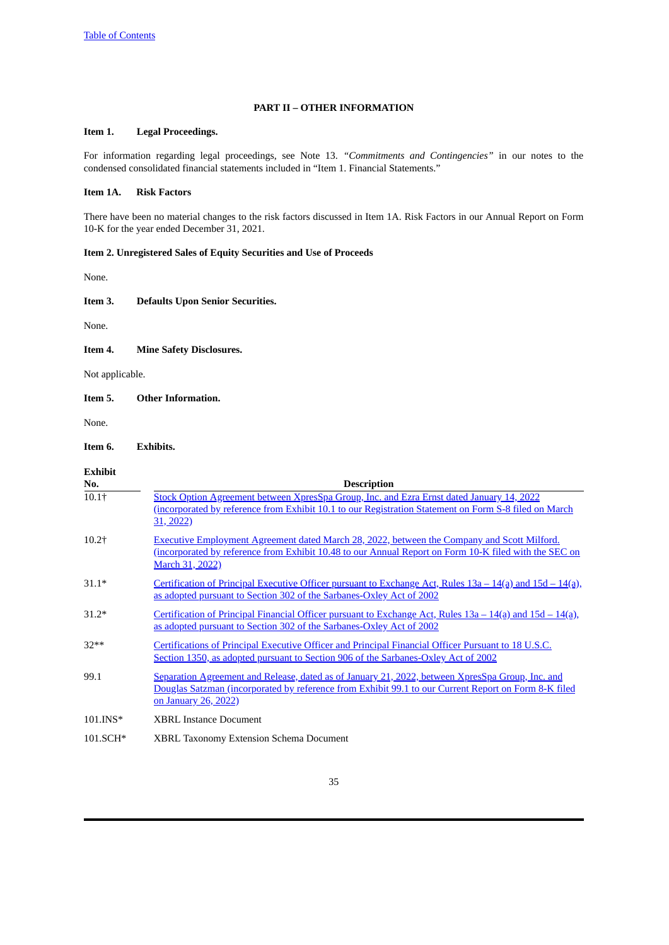## **PART II – OTHER INFORMATION**

## <span id="page-34-1"></span><span id="page-34-0"></span>**Item 1. Legal Proceedings.**

For information regarding legal proceedings, see Note 13. *"Commitments and Contingencies"* in our notes to the condensed consolidated financial statements included in "Item 1. Financial Statements."

## <span id="page-34-2"></span>**Item 1A. Risk Factors**

There have been no material changes to the risk factors discussed in Item 1A. Risk Factors in our Annual Report on Form 10-K for the year ended December 31, 2021.

## <span id="page-34-3"></span>**Item 2. Unregistered Sales of Equity Securities and Use of Proceeds**

None.

## <span id="page-34-4"></span>**Item 3. Defaults Upon Senior Securities.**

None.

## <span id="page-34-5"></span>**Item 4. Mine Safety Disclosures.**

Not applicable.

## <span id="page-34-6"></span>**Item 5. Other Information.**

None.

## <span id="page-34-7"></span>**Item 6. Exhibits.**

| <b>Exhibit</b> |                                                                                                                                                                                                                                         |
|----------------|-----------------------------------------------------------------------------------------------------------------------------------------------------------------------------------------------------------------------------------------|
| No.<br>$10.1+$ | <b>Description</b><br>Stock Option Agreement between XpresSpa Group, Inc. and Ezra Ernst dated January 14, 2022<br>(incorporated by reference from Exhibit 10.1 to our Registration Statement on Form S-8 filed on March<br>31, 2022)   |
| $10.2+$        | <b>Executive Employment Agreement dated March 28, 2022, between the Company and Scott Milford.</b><br><u>(incorporated by reference from Exhibit 10.48 to our Annual Report on Form 10-K filed with the SEC on</u><br>March 31, 2022)   |
| $31.1*$        | Certification of Principal Executive Officer pursuant to Exchange Act, Rules $13a - 14(a)$ and $15d - 14(a)$ ,<br>as adopted pursuant to Section 302 of the Sarbanes-Oxley Act of 2002                                                  |
| $31.2*$        | <u>Certification of Principal Financial Officer pursuant to Exchange Act, Rules <math>13a - 14(a)</math> and <math>15d - 14(a)</math>,</u><br>as adopted pursuant to Section 302 of the Sarbanes-Oxley Act of 2002                      |
| $32**$         | Certifications of Principal Executive Officer and Principal Financial Officer Pursuant to 18 U.S.C.<br>Section 1350, as adopted pursuant to Section 906 of the Sarbanes-Oxley Act of 2002                                               |
| 99.1           | Separation Agreement and Release, dated as of January 21, 2022, between XpresSpa Group, Inc. and<br>Douglas Satzman (incorporated by reference from Exhibit 99.1 to our Current Report on Form 8-K filed<br><u>on January 26, 2022)</u> |
| $101.INS*$     | <b>XBRL Instance Document</b>                                                                                                                                                                                                           |
| 101.SCH*       | <b>XBRL Taxonomy Extension Schema Document</b>                                                                                                                                                                                          |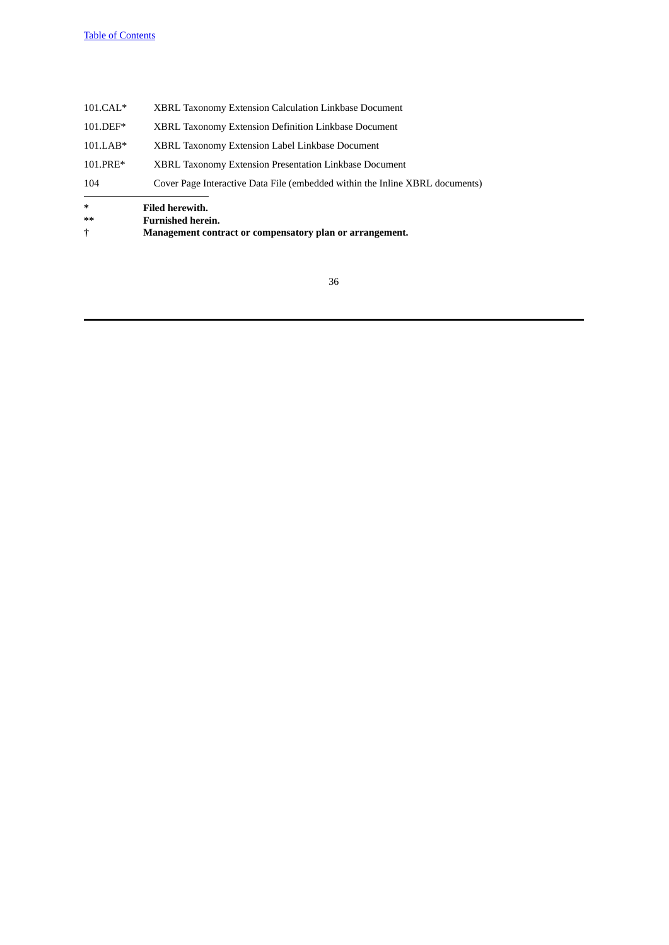| t          | Management contract or compensatory plan or arrangement.                     |
|------------|------------------------------------------------------------------------------|
| $***$      | <b>Furnished herein.</b>                                                     |
| $*$        | <b>Filed herewith.</b>                                                       |
| 104        | Cover Page Interactive Data File (embedded within the Inline XBRL documents) |
| 101.PRE*   | XBRL Taxonomy Extension Presentation Linkbase Document                       |
| $101.LAB*$ | XBRL Taxonomy Extension Label Linkbase Document                              |
| 101.DEF*   | XBRL Taxonomy Extension Definition Linkbase Document                         |
| $101.CAL*$ | XBRL Taxonomy Extension Calculation Linkbase Document                        |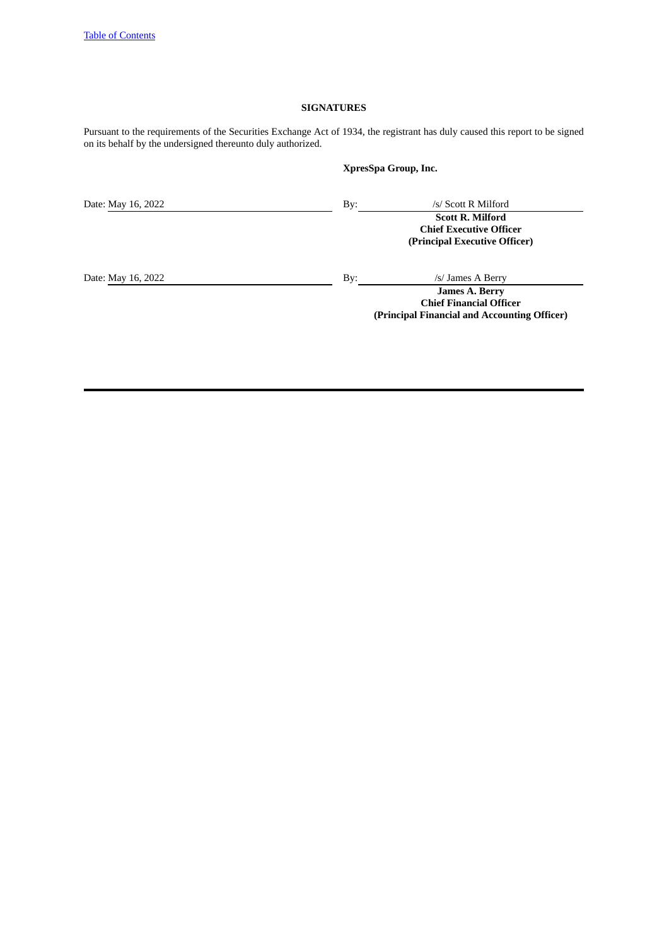# **SIGNATURES**

Pursuant to the requirements of the Securities Exchange Act of 1934, the registrant has duly caused this report to be signed on its behalf by the undersigned thereunto duly authorized.

**XpresSpa Group, Inc.**

| Date: May 16, 2022 | By: | /s/ Scott R Milford                                                                        |
|--------------------|-----|--------------------------------------------------------------------------------------------|
|                    |     | <b>Scott R. Milford</b><br><b>Chief Executive Officer</b><br>(Principal Executive Officer) |
| Date: May 16, 2022 | By: | /s/ James A Berry                                                                          |
|                    |     | <b>James A. Berry</b><br><b>Chief Financial Officer</b>                                    |

**(Principal Financial and Accounting Officer)**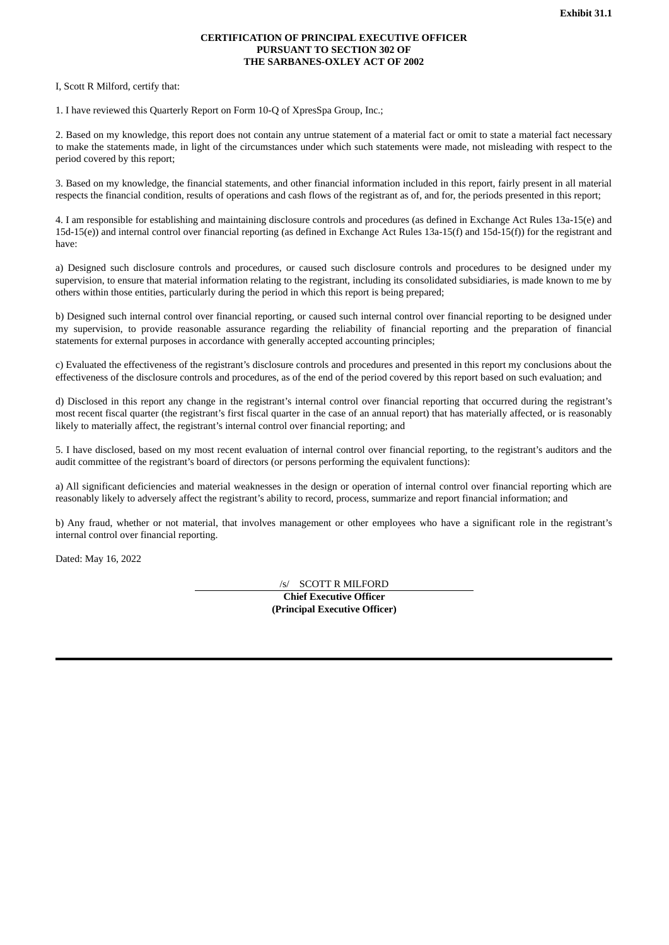## **CERTIFICATION OF PRINCIPAL EXECUTIVE OFFICER PURSUANT TO SECTION 302 OF THE SARBANES-OXLEY ACT OF 2002**

<span id="page-37-0"></span>I, Scott R Milford, certify that:

1. I have reviewed this Quarterly Report on Form 10-Q of XpresSpa Group, Inc.;

2. Based on my knowledge, this report does not contain any untrue statement of a material fact or omit to state a material fact necessary to make the statements made, in light of the circumstances under which such statements were made, not misleading with respect to the period covered by this report;

3. Based on my knowledge, the financial statements, and other financial information included in this report, fairly present in all material respects the financial condition, results of operations and cash flows of the registrant as of, and for, the periods presented in this report;

4. I am responsible for establishing and maintaining disclosure controls and procedures (as defined in Exchange Act Rules 13a-15(e) and 15d-15(e)) and internal control over financial reporting (as defined in Exchange Act Rules 13a-15(f) and 15d-15(f)) for the registrant and have:

a) Designed such disclosure controls and procedures, or caused such disclosure controls and procedures to be designed under my supervision, to ensure that material information relating to the registrant, including its consolidated subsidiaries, is made known to me by others within those entities, particularly during the period in which this report is being prepared;

b) Designed such internal control over financial reporting, or caused such internal control over financial reporting to be designed under my supervision, to provide reasonable assurance regarding the reliability of financial reporting and the preparation of financial statements for external purposes in accordance with generally accepted accounting principles;

c) Evaluated the effectiveness of the registrant's disclosure controls and procedures and presented in this report my conclusions about the effectiveness of the disclosure controls and procedures, as of the end of the period covered by this report based on such evaluation; and

d) Disclosed in this report any change in the registrant's internal control over financial reporting that occurred during the registrant's most recent fiscal quarter (the registrant's first fiscal quarter in the case of an annual report) that has materially affected, or is reasonably likely to materially affect, the registrant's internal control over financial reporting; and

5. I have disclosed, based on my most recent evaluation of internal control over financial reporting, to the registrant's auditors and the audit committee of the registrant's board of directors (or persons performing the equivalent functions):

a) All significant deficiencies and material weaknesses in the design or operation of internal control over financial reporting which are reasonably likely to adversely affect the registrant's ability to record, process, summarize and report financial information; and

b) Any fraud, whether or not material, that involves management or other employees who have a significant role in the registrant's internal control over financial reporting.

Dated: May 16, 2022

/s/ SCOTT R MILFORD **Chief Executive Officer (Principal Executive Officer)**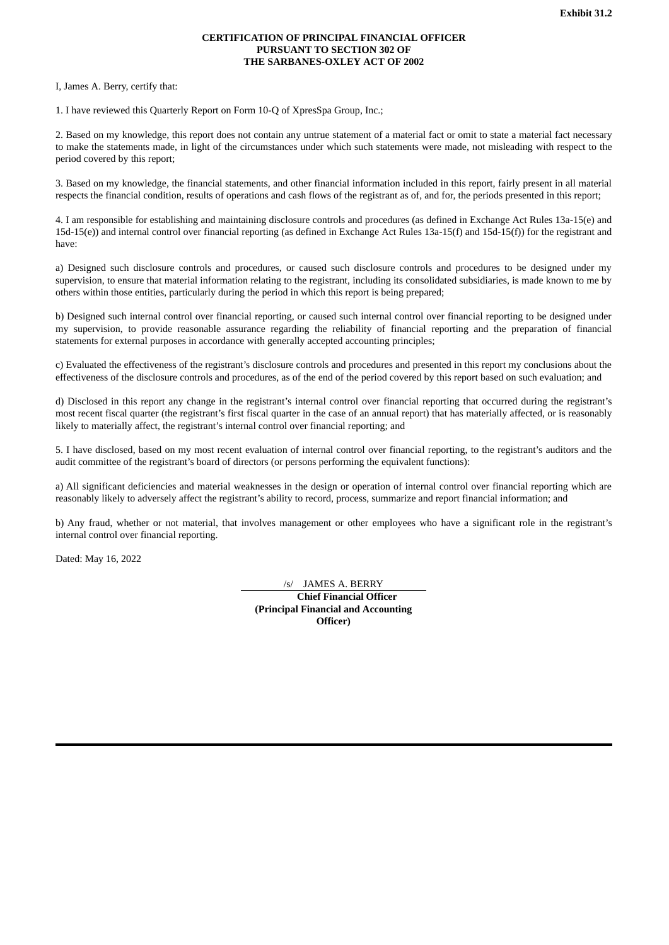## **CERTIFICATION OF PRINCIPAL FINANCIAL OFFICER PURSUANT TO SECTION 302 OF THE SARBANES-OXLEY ACT OF 2002**

<span id="page-38-0"></span>I, James A. Berry, certify that:

1. I have reviewed this Quarterly Report on Form 10-Q of XpresSpa Group, Inc.;

2. Based on my knowledge, this report does not contain any untrue statement of a material fact or omit to state a material fact necessary to make the statements made, in light of the circumstances under which such statements were made, not misleading with respect to the period covered by this report;

3. Based on my knowledge, the financial statements, and other financial information included in this report, fairly present in all material respects the financial condition, results of operations and cash flows of the registrant as of, and for, the periods presented in this report;

4. I am responsible for establishing and maintaining disclosure controls and procedures (as defined in Exchange Act Rules 13a-15(e) and 15d-15(e)) and internal control over financial reporting (as defined in Exchange Act Rules 13a-15(f) and 15d-15(f)) for the registrant and have:

a) Designed such disclosure controls and procedures, or caused such disclosure controls and procedures to be designed under my supervision, to ensure that material information relating to the registrant, including its consolidated subsidiaries, is made known to me by others within those entities, particularly during the period in which this report is being prepared;

b) Designed such internal control over financial reporting, or caused such internal control over financial reporting to be designed under my supervision, to provide reasonable assurance regarding the reliability of financial reporting and the preparation of financial statements for external purposes in accordance with generally accepted accounting principles;

c) Evaluated the effectiveness of the registrant's disclosure controls and procedures and presented in this report my conclusions about the effectiveness of the disclosure controls and procedures, as of the end of the period covered by this report based on such evaluation; and

d) Disclosed in this report any change in the registrant's internal control over financial reporting that occurred during the registrant's most recent fiscal quarter (the registrant's first fiscal quarter in the case of an annual report) that has materially affected, or is reasonably likely to materially affect, the registrant's internal control over financial reporting; and

5. I have disclosed, based on my most recent evaluation of internal control over financial reporting, to the registrant's auditors and the audit committee of the registrant's board of directors (or persons performing the equivalent functions):

a) All significant deficiencies and material weaknesses in the design or operation of internal control over financial reporting which are reasonably likely to adversely affect the registrant's ability to record, process, summarize and report financial information; and

b) Any fraud, whether or not material, that involves management or other employees who have a significant role in the registrant's internal control over financial reporting.

Dated: May 16, 2022

/s/ JAMES A. BERRY **Chief Financial Officer (Principal Financial and Accounting Officer)**